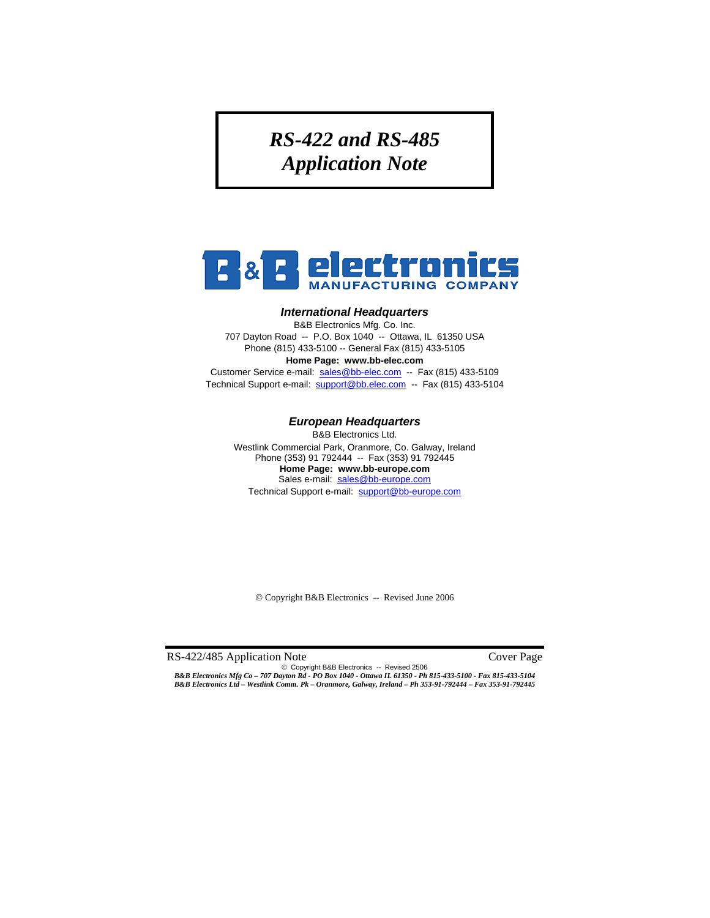# *RS-422 and RS-485 Application Note*



#### *International Headquarters*

B&B Electronics Mfg. Co. Inc. 707 Dayton Road -- P.O. Box 1040 -- Ottawa, IL 61350 USA Phone (815) 433-5100 -- General Fax (815) 433-5105 **Home Page: www.bb-elec.com** 

Customer Service e-mail: sales@bb-elec.com -- Fax (815) 433-5109 Technical Support e-mail: support@bb.elec.com -- Fax (815) 433-5104

#### *European Headquarters*

B&B Electronics Ltd. Westlink Commercial Park, Oranmore, Co. Galway, Ireland Phone (353) 91 792444 -- Fax (353) 91 792445 **Home Page: www.bb-europe.com**  Sales e-mail: sales@bb-europe.com Technical Support e-mail: support@bb-europe.com

© Copyright B&B Electronics -- Revised June 2006

RS-422/485 Application Note Cover Page

© Copyright B&B Electronics -- Revised 2506 *B&B Electronics Mfg Co – 707 Dayton Rd - PO Box 1040 - Ottawa IL 61350 - Ph 815-433-5100 - Fax 815-433-5104 B&B Electronics Ltd – Westlink Comm. Pk – Oranmore, Galway, Ireland – Ph 353-91-792444 – Fax 353-91-792445*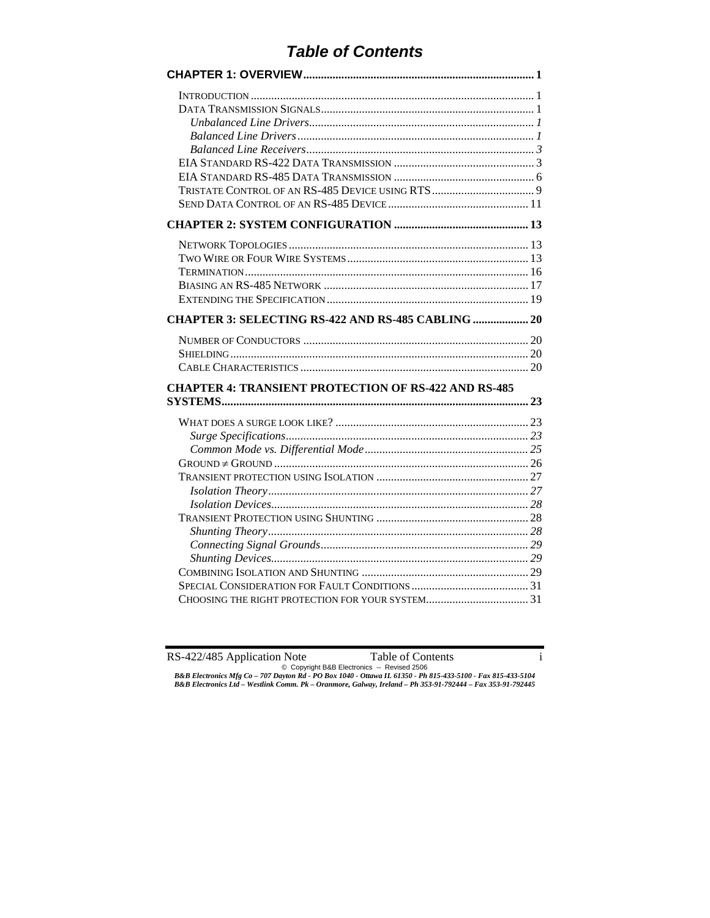# *Table of Contents*

| <b>CHAPTER 3: SELECTING RS-422 AND RS-485 CABLING  20</b>   |
|-------------------------------------------------------------|
| <b>CHAPTER 4: TRANSIENT PROTECTION OF RS-422 AND RS-485</b> |
|                                                             |
|                                                             |
|                                                             |
|                                                             |
|                                                             |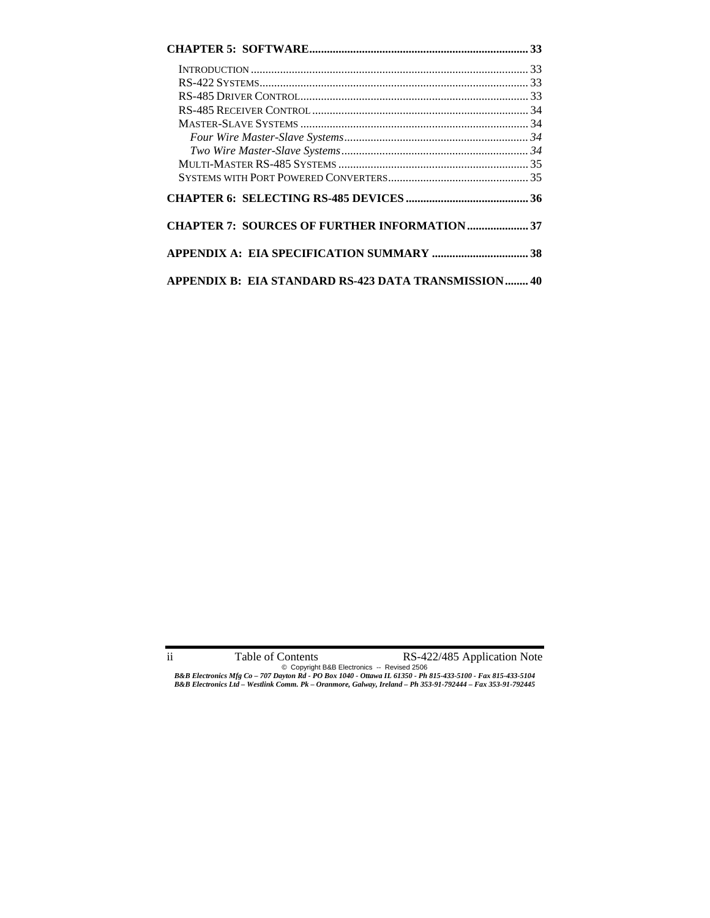| <b>CHAPTER 7: SOURCES OF FURTHER INFORMATION  37</b> |  |
|------------------------------------------------------|--|
|                                                      |  |
| APPENDIX B: EIA STANDARD RS-423 DATA TRANSMISSION 40 |  |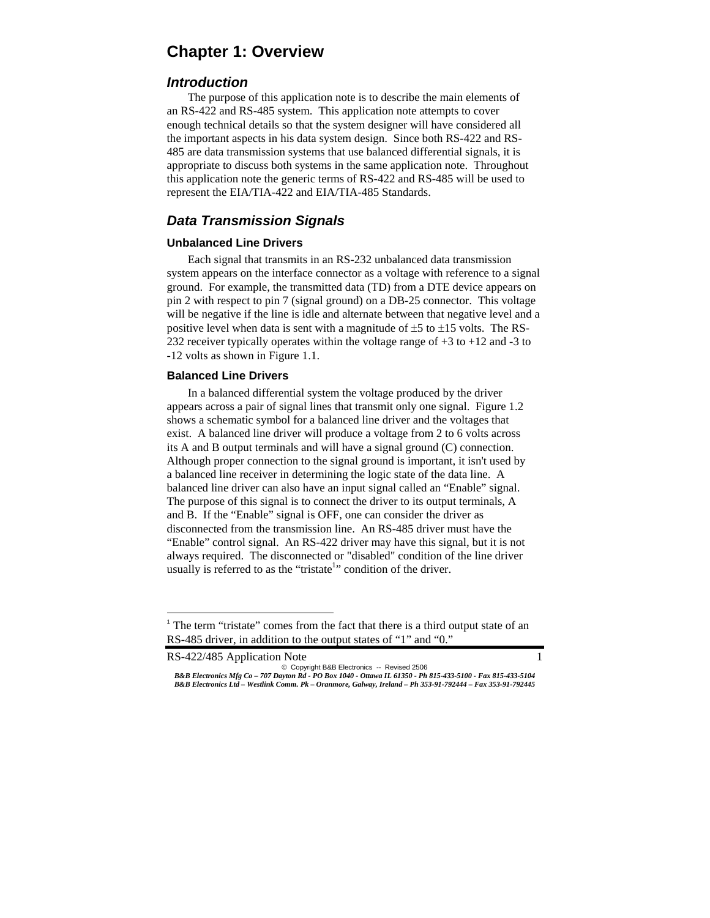# **Chapter 1: Overview**

### *Introduction*

 The purpose of this application note is to describe the main elements of an RS-422 and RS-485 system. This application note attempts to cover enough technical details so that the system designer will have considered all the important aspects in his data system design. Since both RS-422 and RS-485 are data transmission systems that use balanced differential signals, it is appropriate to discuss both systems in the same application note. Throughout this application note the generic terms of RS-422 and RS-485 will be used to represent the EIA/TIA-422 and EIA/TIA-485 Standards.

# *Data Transmission Signals*

#### **Unbalanced Line Drivers**

 Each signal that transmits in an RS-232 unbalanced data transmission system appears on the interface connector as a voltage with reference to a signal ground. For example, the transmitted data (TD) from a DTE device appears on pin 2 with respect to pin 7 (signal ground) on a DB-25 connector. This voltage will be negative if the line is idle and alternate between that negative level and a positive level when data is sent with a magnitude of  $\pm 5$  to  $\pm 15$  volts. The RS-232 receiver typically operates within the voltage range of  $+3$  to  $+12$  and  $-3$  to -12 volts as shown in Figure 1.1.

#### **Balanced Line Drivers**

 In a balanced differential system the voltage produced by the driver appears across a pair of signal lines that transmit only one signal. Figure 1.2 shows a schematic symbol for a balanced line driver and the voltages that exist. A balanced line driver will produce a voltage from 2 to 6 volts across its A and B output terminals and will have a signal ground (C) connection. Although proper connection to the signal ground is important, it isn't used by a balanced line receiver in determining the logic state of the data line. A balanced line driver can also have an input signal called an "Enable" signal. The purpose of this signal is to connect the driver to its output terminals, A and B. If the "Enable" signal is OFF, one can consider the driver as disconnected from the transmission line. An RS-485 driver must have the "Enable" control signal. An RS-422 driver may have this signal, but it is not always required. The disconnected or "disabled" condition of the line driver usually is referred to as the "tristate<sup>1</sup>" condition of the driver.

RS-422/485 Application Note 1

-

<sup>&</sup>lt;sup>1</sup> The term "tristate" comes from the fact that there is a third output state of an RS-485 driver, in addition to the output states of "1" and "0."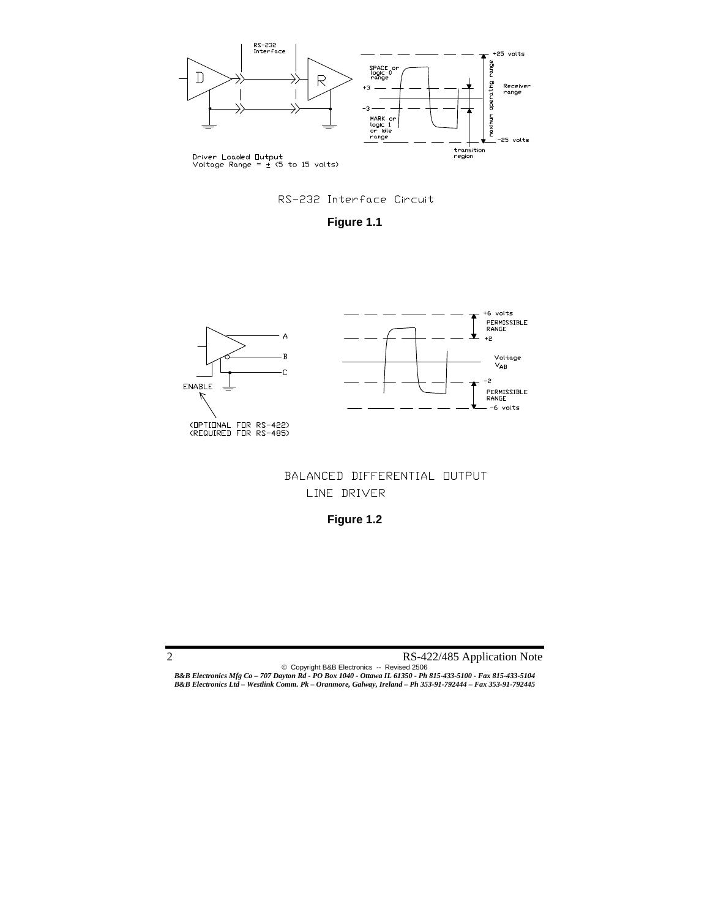



**Figure 1.1** 



# BALANCED DIFFERENTIAL OUTPUT LINE DRIVER

**Figure 1.2**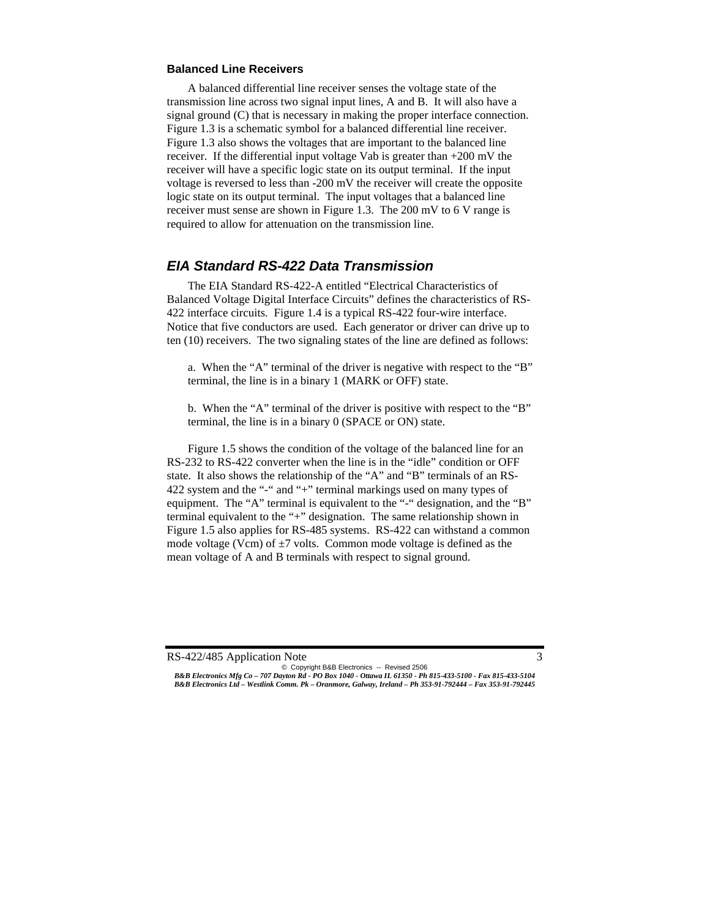#### **Balanced Line Receivers**

 A balanced differential line receiver senses the voltage state of the transmission line across two signal input lines, A and B. It will also have a signal ground (C) that is necessary in making the proper interface connection. Figure 1.3 is a schematic symbol for a balanced differential line receiver. Figure 1.3 also shows the voltages that are important to the balanced line receiver. If the differential input voltage Vab is greater than +200 mV the receiver will have a specific logic state on its output terminal. If the input voltage is reversed to less than -200 mV the receiver will create the opposite logic state on its output terminal. The input voltages that a balanced line receiver must sense are shown in Figure 1.3. The 200 mV to 6 V range is required to allow for attenuation on the transmission line.

### *EIA Standard RS-422 Data Transmission*

 The EIA Standard RS-422-A entitled "Electrical Characteristics of Balanced Voltage Digital Interface Circuits" defines the characteristics of RS-422 interface circuits. Figure 1.4 is a typical RS-422 four-wire interface. Notice that five conductors are used. Each generator or driver can drive up to ten (10) receivers. The two signaling states of the line are defined as follows:

 a. When the "A" terminal of the driver is negative with respect to the "B" terminal, the line is in a binary 1 (MARK or OFF) state.

 b. When the "A" terminal of the driver is positive with respect to the "B" terminal, the line is in a binary 0 (SPACE or ON) state.

 Figure 1.5 shows the condition of the voltage of the balanced line for an RS-232 to RS-422 converter when the line is in the "idle" condition or OFF state. It also shows the relationship of the "A" and "B" terminals of an RS-422 system and the "-" and "+" terminal markings used on many types of equipment. The "A" terminal is equivalent to the "-" designation, and the "B" terminal equivalent to the "+" designation. The same relationship shown in Figure 1.5 also applies for RS-485 systems. RS-422 can withstand a common mode voltage (Vcm) of  $\pm$ 7 volts. Common mode voltage is defined as the mean voltage of A and B terminals with respect to signal ground.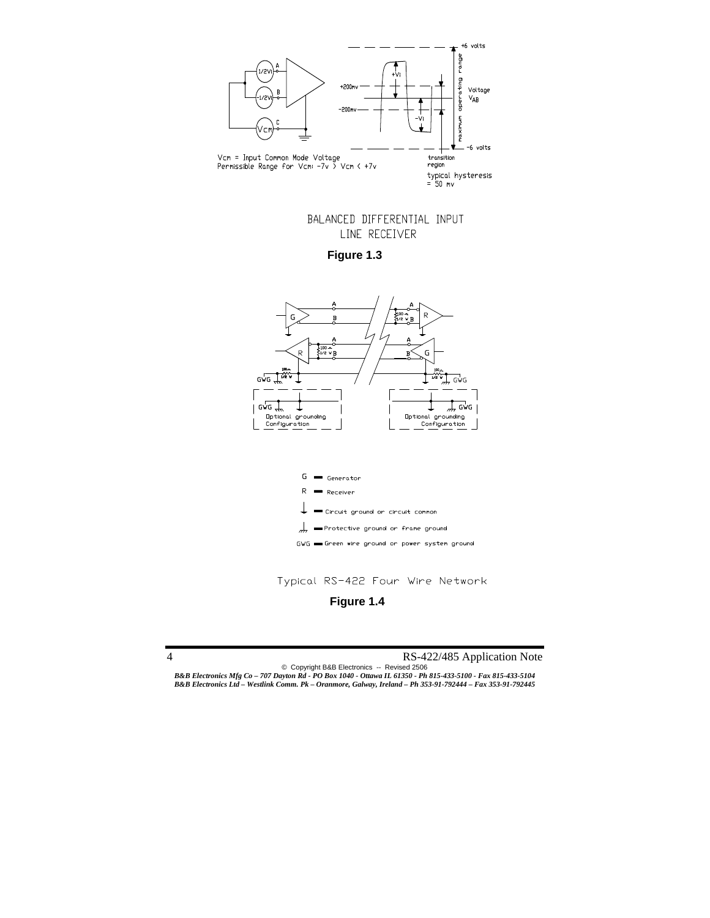

BALANCED DIFFERENTIAL INPUT LINE RECEIVER

**Figure 1.3** 



Typical RS-422 Four Wire Network

**Figure 1.4**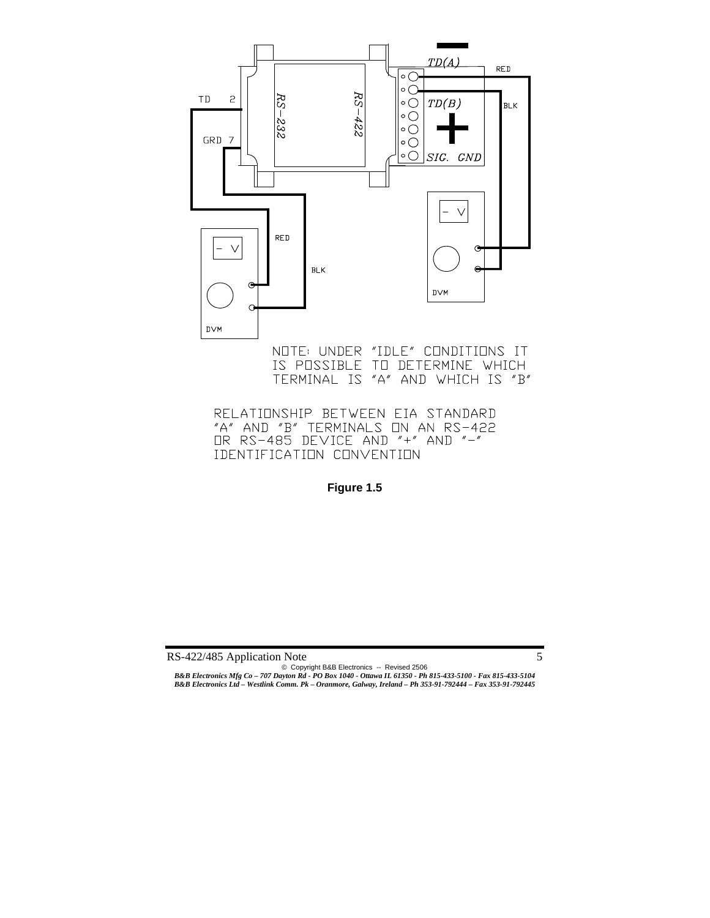

NOTE: UNDER "IDLE" CONDITIONS IT IS POSSIBLE TO DETERMINE WHICH TERMINAL IS "A" AND WHICH IS "B"

RELATIONSHIP BETWEEN EIA STANDARD "A" AND "B" TERMINALS ON AN RS-422 OR RS-485 DEVICE AND "+" AND "-" IDENTIFICATION CONVENTION

**Figure 1.5**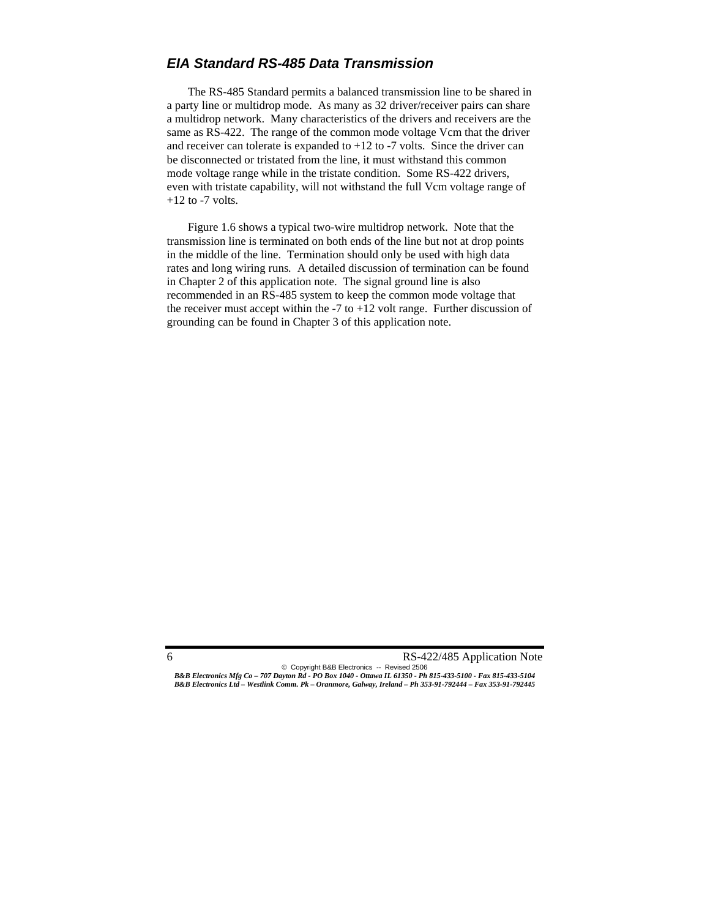### *EIA Standard RS-485 Data Transmission*

 The RS-485 Standard permits a balanced transmission line to be shared in a party line or multidrop mode. As many as 32 driver/receiver pairs can share a multidrop network. Many characteristics of the drivers and receivers are the same as RS-422. The range of the common mode voltage Vcm that the driver and receiver can tolerate is expanded to  $+12$  to  $-7$  volts. Since the driver can be disconnected or tristated from the line, it must withstand this common mode voltage range while in the tristate condition. Some RS-422 drivers, even with tristate capability, will not withstand the full Vcm voltage range of  $+12$  to  $-7$  volts.

 Figure 1.6 shows a typical two-wire multidrop network. Note that the transmission line is terminated on both ends of the line but not at drop points in the middle of the line. Termination should only be used with high data rates and long wiring runs*.* A detailed discussion of termination can be found in Chapter 2 of this application note. The signal ground line is also recommended in an RS-485 system to keep the common mode voltage that the receiver must accept within the  $-7$  to  $+12$  volt range. Further discussion of grounding can be found in Chapter 3 of this application note.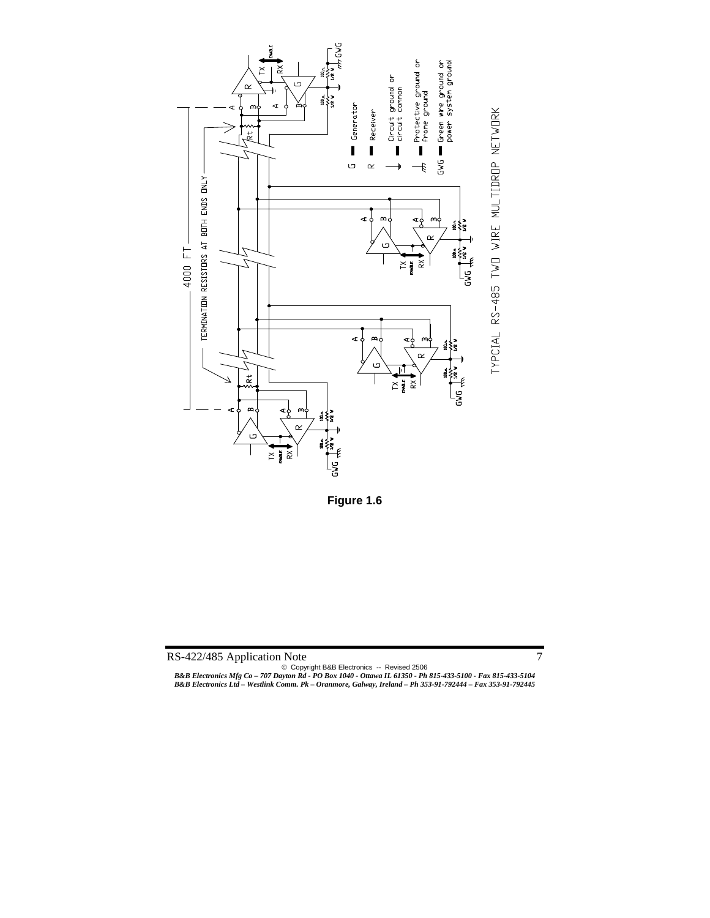



**Figure 1.6** 

© Copyright B&B Electronics -- Revised 2506 *B&B Electronics Mfg Co – 707 Dayton Rd - PO Box 1040 - Ottawa IL 61350 - Ph 815-433-5100 - Fax 815-433-5104 B&B Electronics Ltd – Westlink Comm. Pk – Oranmore, Galway, Ireland – Ph 353-91-792444 – Fax 353-91-792445*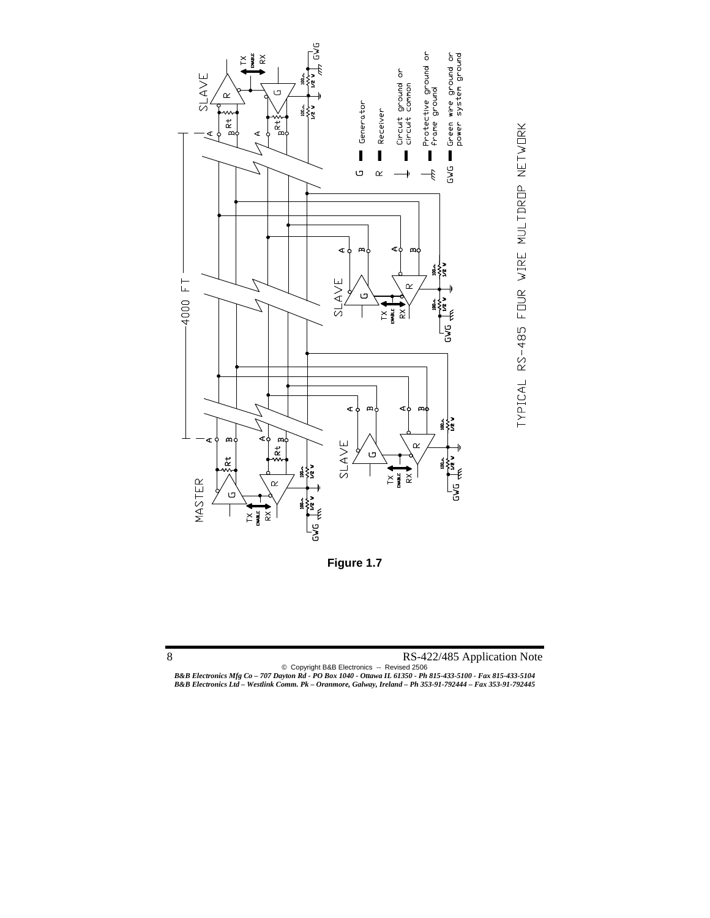



© Copyright B&B Electronics -- Revised 2506

*B&B Electronics Mfg Co – 707 Dayton Rd - PO Box 1040 - Ottawa IL 61350 - Ph 815-433-5100 - Fax 815-433-5104 B&B Electronics Ltd – Westlink Comm. Pk – Oranmore, Galway, Ireland – Ph 353-91-792444 – Fax 353-91-792445*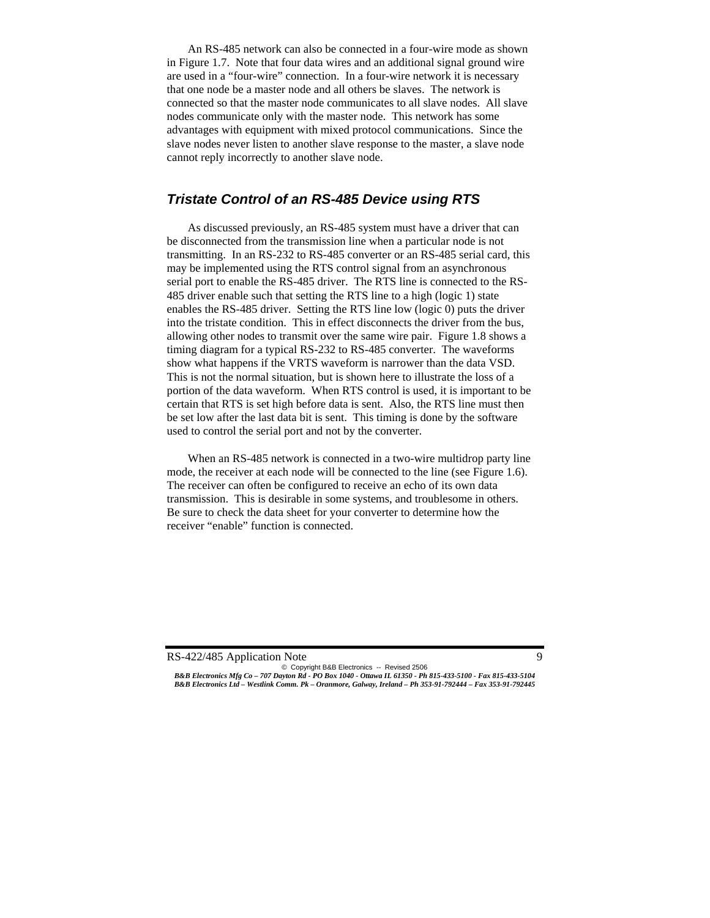An RS-485 network can also be connected in a four-wire mode as shown in Figure 1.7. Note that four data wires and an additional signal ground wire are used in a "four-wire" connection. In a four-wire network it is necessary that one node be a master node and all others be slaves. The network is connected so that the master node communicates to all slave nodes. All slave nodes communicate only with the master node. This network has some advantages with equipment with mixed protocol communications. Since the slave nodes never listen to another slave response to the master, a slave node cannot reply incorrectly to another slave node.

### *Tristate Control of an RS-485 Device using RTS*

 As discussed previously, an RS-485 system must have a driver that can be disconnected from the transmission line when a particular node is not transmitting. In an RS-232 to RS-485 converter or an RS-485 serial card, this may be implemented using the RTS control signal from an asynchronous serial port to enable the RS-485 driver. The RTS line is connected to the RS-485 driver enable such that setting the RTS line to a high (logic 1) state enables the RS-485 driver. Setting the RTS line low (logic 0) puts the driver into the tristate condition. This in effect disconnects the driver from the bus, allowing other nodes to transmit over the same wire pair. Figure 1.8 shows a timing diagram for a typical RS-232 to RS-485 converter. The waveforms show what happens if the VRTS waveform is narrower than the data VSD. This is not the normal situation, but is shown here to illustrate the loss of a portion of the data waveform. When RTS control is used, it is important to be certain that RTS is set high before data is sent. Also, the RTS line must then be set low after the last data bit is sent. This timing is done by the software used to control the serial port and not by the converter.

 When an RS-485 network is connected in a two-wire multidrop party line mode, the receiver at each node will be connected to the line (see Figure 1.6). The receiver can often be configured to receive an echo of its own data transmission. This is desirable in some systems, and troublesome in others. Be sure to check the data sheet for your converter to determine how the receiver "enable" function is connected.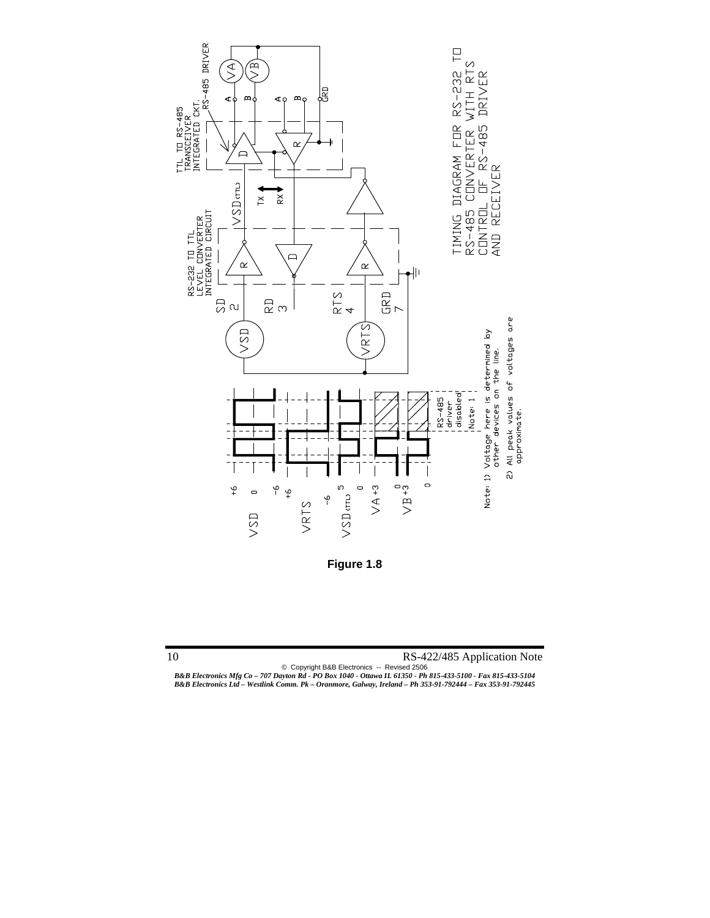

**Figure 1.8** 

© Copyright B&B Electronics -- Revised 2506 *B&B Electronics Mfg Co – 707 Dayton Rd - PO Box 1040 - Ottawa IL 61350 - Ph 815-433-5100 - Fax 815-433-5104 B&B Electronics Ltd – Westlink Comm. Pk – Oranmore, Galway, Ireland – Ph 353-91-792444 – Fax 353-91-792445*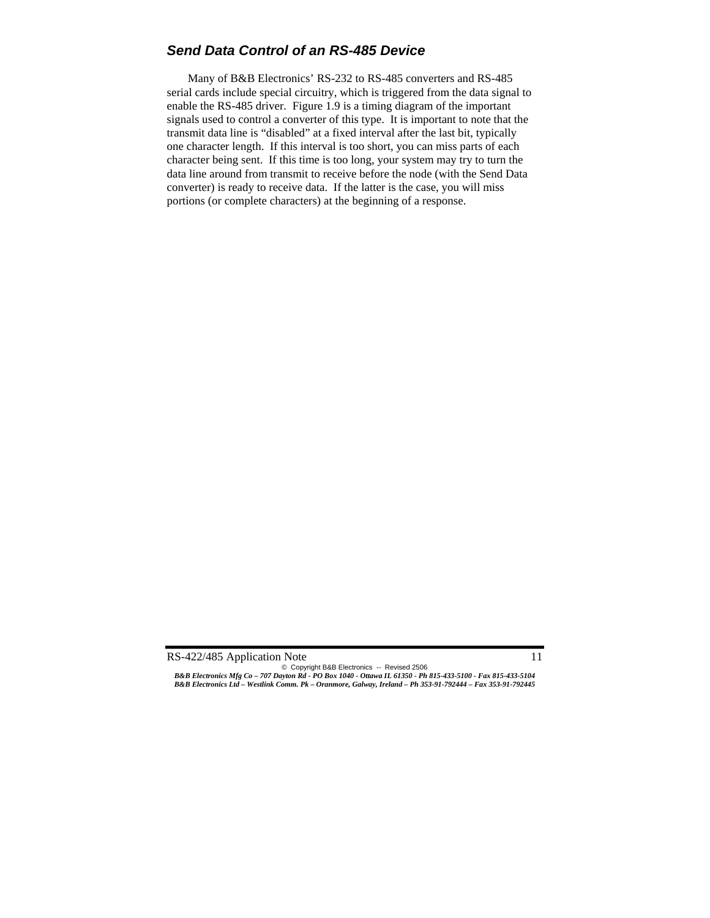### *Send Data Control of an RS-485 Device*

 Many of B&B Electronics' RS-232 to RS-485 converters and RS-485 serial cards include special circuitry, which is triggered from the data signal to enable the RS-485 driver. Figure 1.9 is a timing diagram of the important signals used to control a converter of this type. It is important to note that the transmit data line is "disabled" at a fixed interval after the last bit, typically one character length. If this interval is too short, you can miss parts of each character being sent. If this time is too long, your system may try to turn the data line around from transmit to receive before the node (with the Send Data converter) is ready to receive data. If the latter is the case, you will miss portions (or complete characters) at the beginning of a response.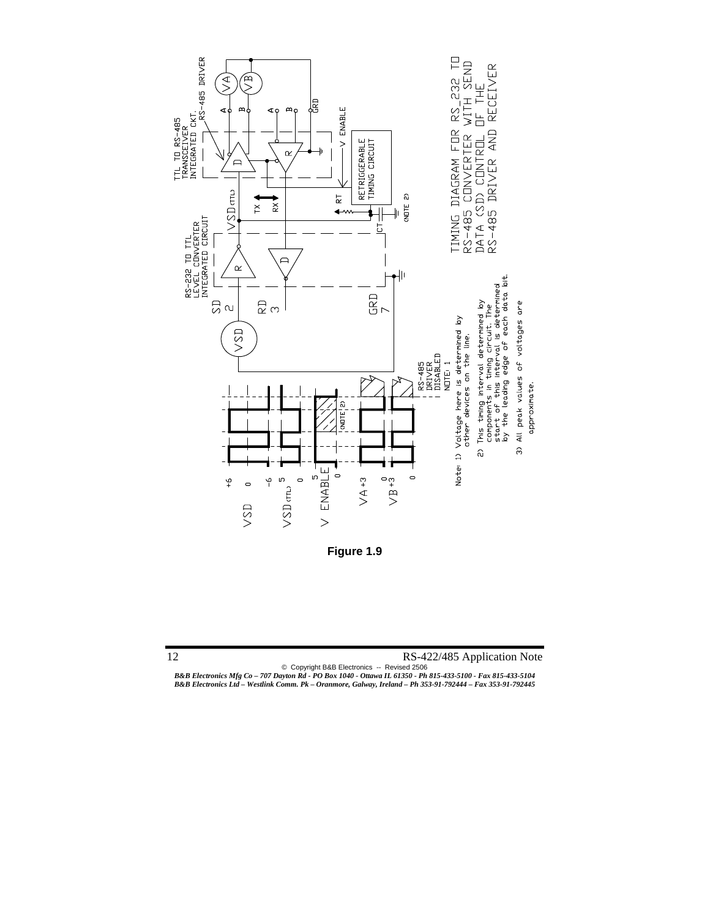

**Figure 1.9** 

12 RS-422/485 Application Note

© Copyright B&B Electronics -- Revised 2506

*B&B Electronics Mfg Co – 707 Dayton Rd - PO Box 1040 - Ottawa IL 61350 - Ph 815-433-5100 - Fax 815-433-5104 B&B Electronics Ltd – Westlink Comm. Pk – Oranmore, Galway, Ireland – Ph 353-91-792444 – Fax 353-91-792445*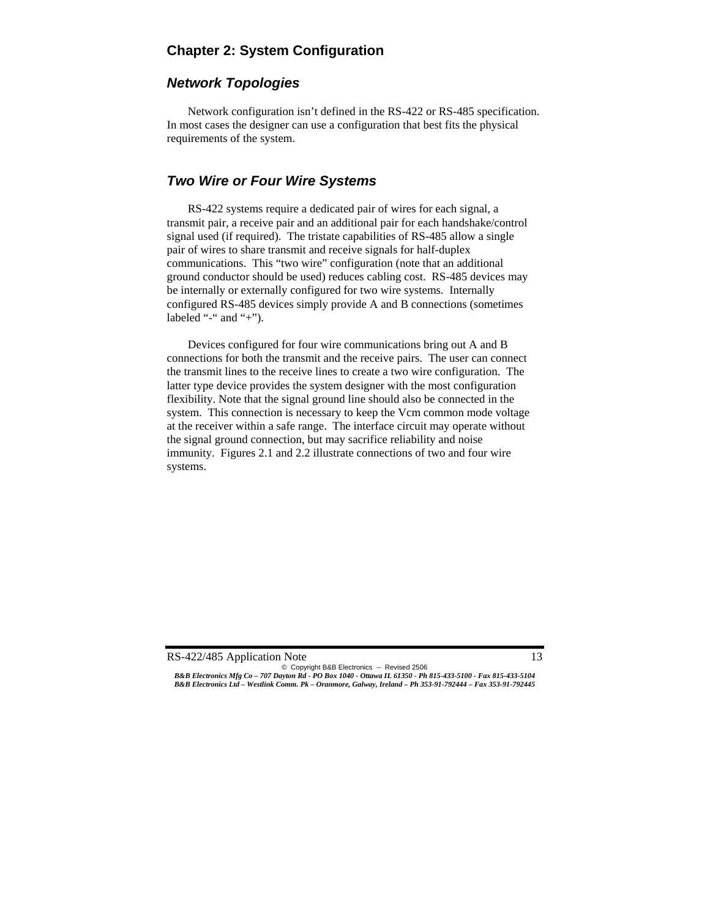# **Chapter 2: System Configuration**

# *Network Topologies*

 Network configuration isn't defined in the RS-422 or RS-485 specification. In most cases the designer can use a configuration that best fits the physical requirements of the system.

# *Two Wire or Four Wire Systems*

 RS-422 systems require a dedicated pair of wires for each signal, a transmit pair, a receive pair and an additional pair for each handshake/control signal used (if required). The tristate capabilities of RS-485 allow a single pair of wires to share transmit and receive signals for half-duplex communications. This "two wire" configuration (note that an additional ground conductor should be used) reduces cabling cost. RS-485 devices may be internally or externally configured for two wire systems. Internally configured RS-485 devices simply provide A and B connections (sometimes labeled "-" and "+").

 Devices configured for four wire communications bring out A and B connections for both the transmit and the receive pairs. The user can connect the transmit lines to the receive lines to create a two wire configuration. The latter type device provides the system designer with the most configuration flexibility. Note that the signal ground line should also be connected in the system. This connection is necessary to keep the Vcm common mode voltage at the receiver within a safe range. The interface circuit may operate without the signal ground connection, but may sacrifice reliability and noise immunity. Figures 2.1 and 2.2 illustrate connections of two and four wire systems.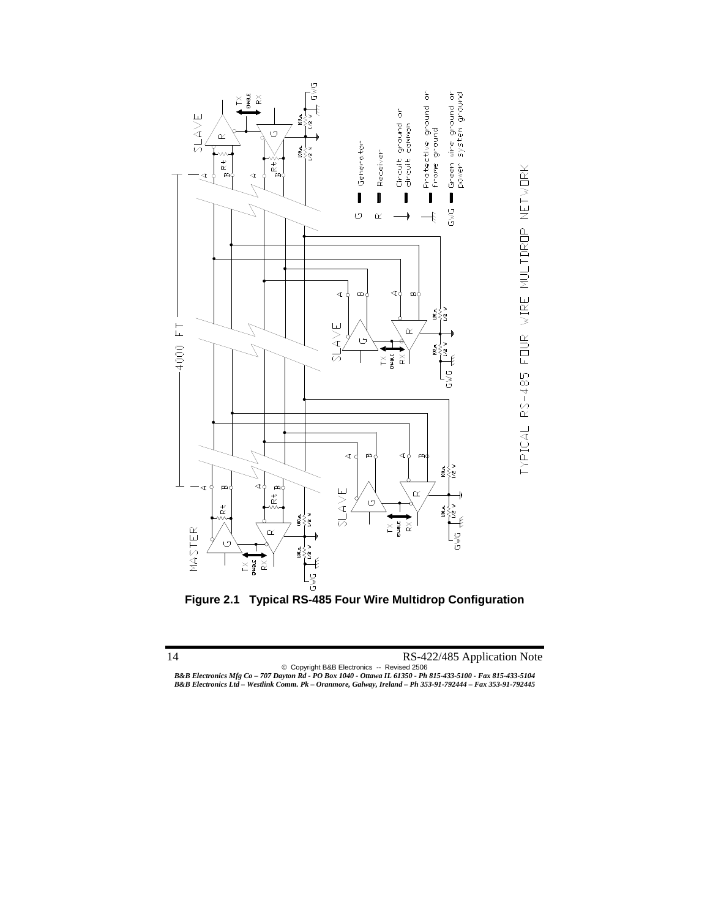

**Figure 2.1 Typical RS-485 Four Wire Multidrop Configuration**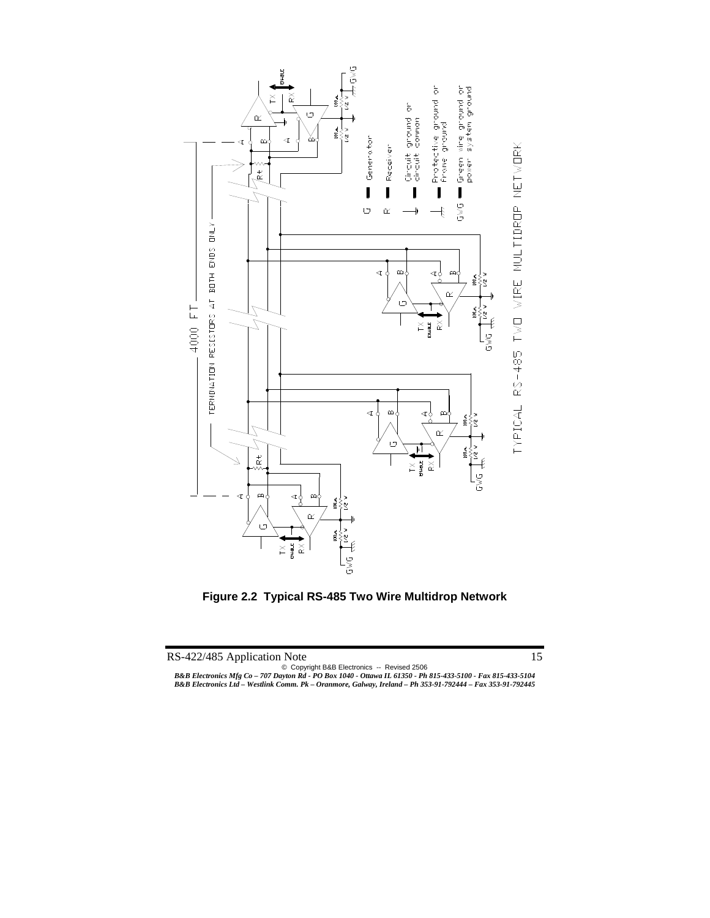

**Figure 2.2 Typical RS-485 Two Wire Multidrop Network**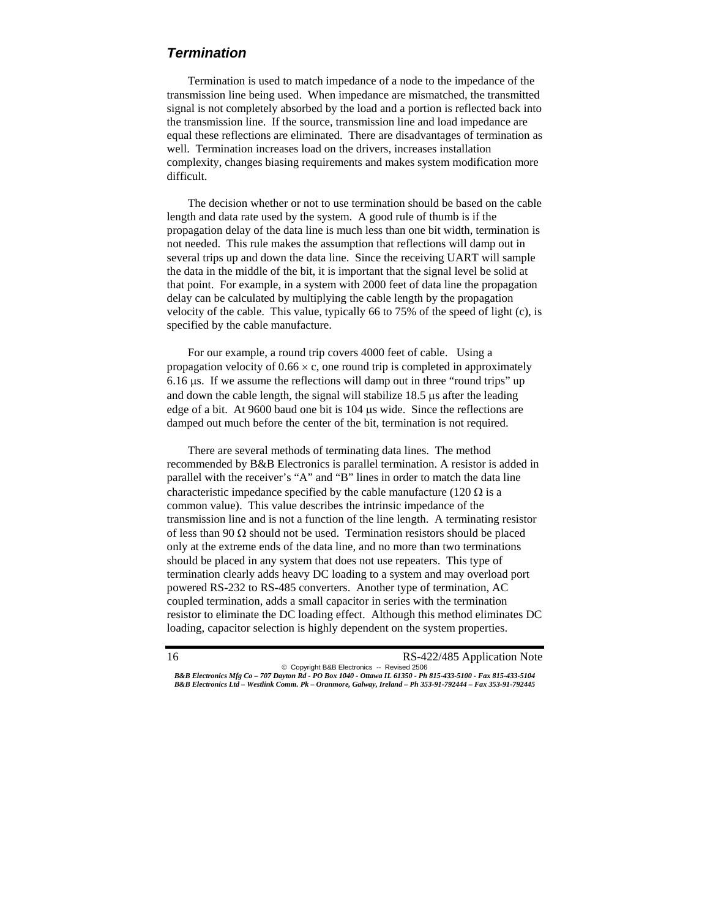### *Termination*

 Termination is used to match impedance of a node to the impedance of the transmission line being used. When impedance are mismatched, the transmitted signal is not completely absorbed by the load and a portion is reflected back into the transmission line. If the source, transmission line and load impedance are equal these reflections are eliminated. There are disadvantages of termination as well. Termination increases load on the drivers, increases installation complexity, changes biasing requirements and makes system modification more difficult.

The decision whether or not to use termination should be based on the cable length and data rate used by the system. A good rule of thumb is if the propagation delay of the data line is much less than one bit width, termination is not needed. This rule makes the assumption that reflections will damp out in several trips up and down the data line. Since the receiving UART will sample the data in the middle of the bit, it is important that the signal level be solid at that point. For example, in a system with 2000 feet of data line the propagation delay can be calculated by multiplying the cable length by the propagation velocity of the cable. This value, typically 66 to 75% of the speed of light (c), is specified by the cable manufacture.

For our example, a round trip covers 4000 feet of cable. Using a propagation velocity of  $0.66 \times c$ , one round trip is completed in approximately 6.16 μs. If we assume the reflections will damp out in three "round trips" up and down the cable length, the signal will stabilize 18.5 μs after the leading edge of a bit. At 9600 baud one bit is 104 μs wide. Since the reflections are damped out much before the center of the bit, termination is not required.

 There are several methods of terminating data lines. The method recommended by B&B Electronics is parallel termination. A resistor is added in parallel with the receiver's "A" and "B" lines in order to match the data line characteristic impedance specified by the cable manufacture (120  $\Omega$  is a common value). This value describes the intrinsic impedance of the transmission line and is not a function of the line length. A terminating resistor of less than 90  $\Omega$  should not be used. Termination resistors should be placed only at the extreme ends of the data line, and no more than two terminations should be placed in any system that does not use repeaters. This type of termination clearly adds heavy DC loading to a system and may overload port powered RS-232 to RS-485 converters. Another type of termination, AC coupled termination, adds a small capacitor in series with the termination resistor to eliminate the DC loading effect. Although this method eliminates DC loading, capacitor selection is highly dependent on the system properties.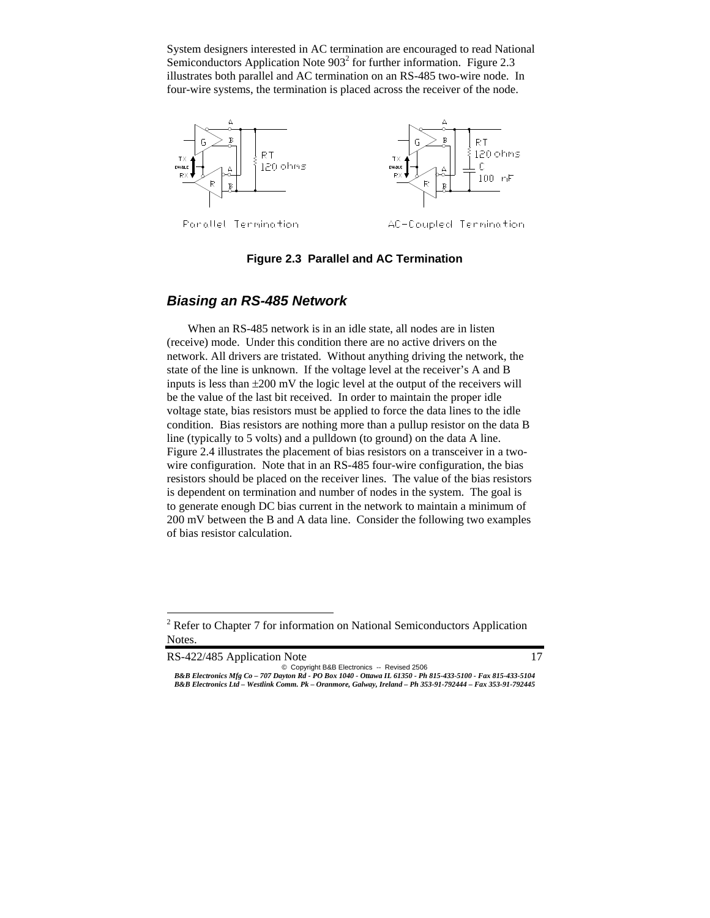System designers interested in AC termination are encouraged to read National Semiconductors Application Note  $903<sup>2</sup>$  for further information. Figure 2.3 illustrates both parallel and AC termination on an RS-485 two-wire node. In four-wire systems, the termination is placed across the receiver of the node.



#### **Figure 2.3 Parallel and AC Termination**

### *Biasing an RS-485 Network*

 When an RS-485 network is in an idle state, all nodes are in listen (receive) mode. Under this condition there are no active drivers on the network. All drivers are tristated. Without anything driving the network, the state of the line is unknown. If the voltage level at the receiver's A and B inputs is less than  $\pm 200$  mV the logic level at the output of the receivers will be the value of the last bit received. In order to maintain the proper idle voltage state, bias resistors must be applied to force the data lines to the idle condition. Bias resistors are nothing more than a pullup resistor on the data B line (typically to 5 volts) and a pulldown (to ground) on the data A line. Figure 2.4 illustrates the placement of bias resistors on a transceiver in a twowire configuration. Note that in an RS-485 four-wire configuration, the bias resistors should be placed on the receiver lines. The value of the bias resistors is dependent on termination and number of nodes in the system. The goal is to generate enough DC bias current in the network to maintain a minimum of 200 mV between the B and A data line. Consider the following two examples of bias resistor calculation.

RS-422/485 Application Note 17

-

 $2^2$  Refer to Chapter 7 for information on National Semiconductors Application Notes.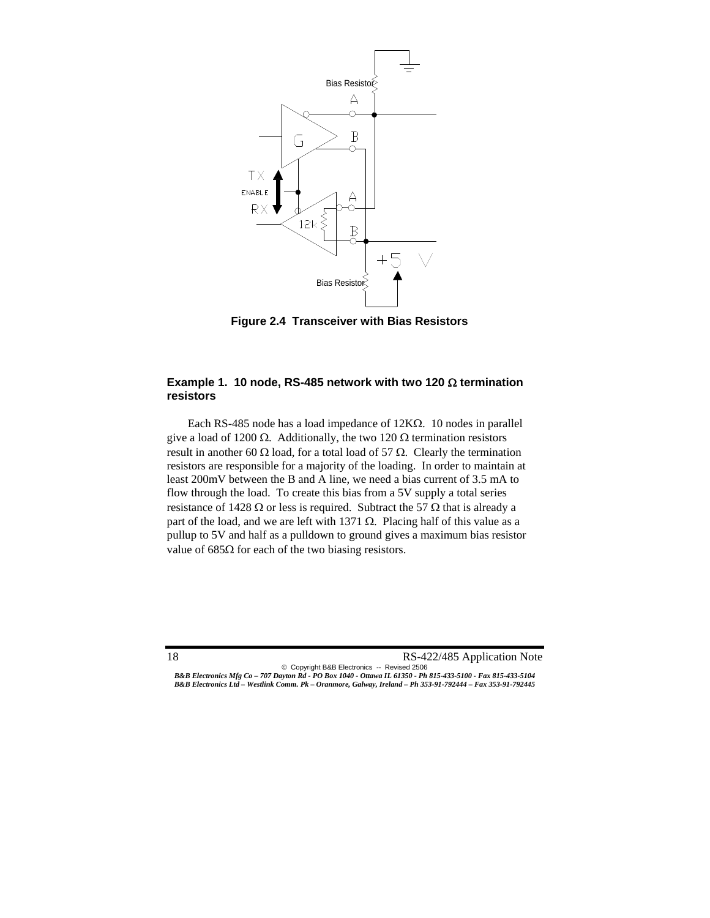

**Figure 2.4 Transceiver with Bias Resistors** 

#### **Example 1. 10 node, RS-485 network with two 120** Ω **termination resistors**

 Each RS-485 node has a load impedance of 12KΩ. 10 nodes in parallel give a load of 1200  $\Omega$ . Additionally, the two 120  $\Omega$  termination resistors result in another 60  $\Omega$  load, for a total load of 57  $\Omega$ . Clearly the termination resistors are responsible for a majority of the loading. In order to maintain at least 200mV between the B and A line, we need a bias current of 3.5 mA to flow through the load. To create this bias from a 5V supply a total series resistance of 1428  $\Omega$  or less is required. Subtract the 57  $\Omega$  that is already a part of the load, and we are left with 1371  $\Omega$ . Placing half of this value as a pullup to 5V and half as a pulldown to ground gives a maximum bias resistor value of  $685Ω$  for each of the two biasing resistors.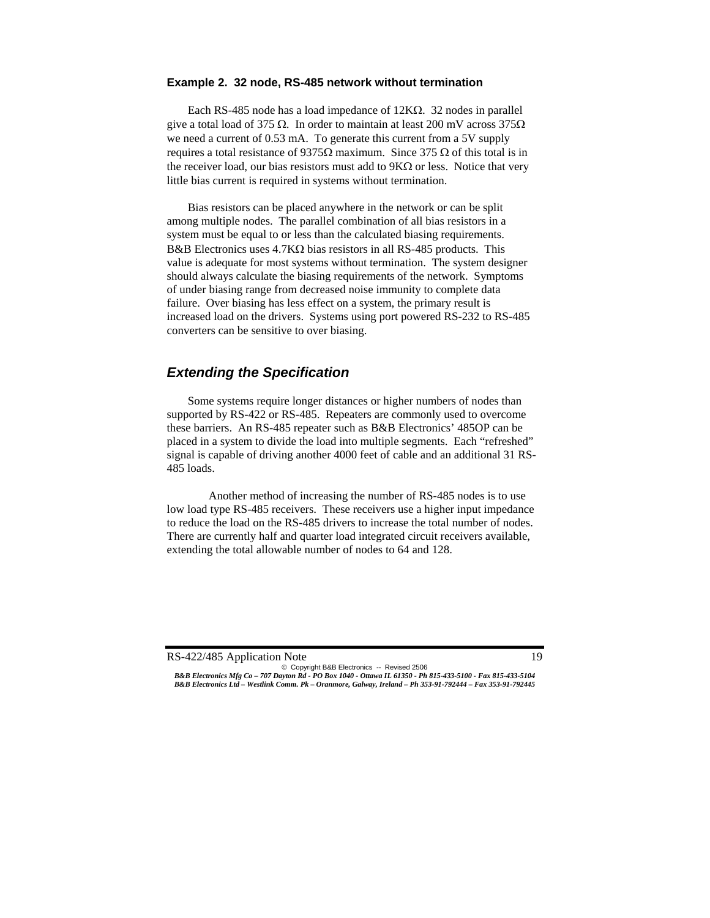#### **Example 2. 32 node, RS-485 network without termination**

 Each RS-485 node has a load impedance of 12KΩ. 32 nodes in parallel give a total load of 375  $\Omega$ . In order to maintain at least 200 mV across 375 $\Omega$ we need a current of 0.53 mA. To generate this current from a 5V supply requires a total resistance of 9375Ω maximum. Since 375 Ω of this total is in the receiver load, our bias resistors must add to  $9K\Omega$  or less. Notice that very little bias current is required in systems without termination.

 Bias resistors can be placed anywhere in the network or can be split among multiple nodes. The parallel combination of all bias resistors in a system must be equal to or less than the calculated biasing requirements. B&B Electronics uses 4.7KΩ bias resistors in all RS-485 products. This value is adequate for most systems without termination. The system designer should always calculate the biasing requirements of the network. Symptoms of under biasing range from decreased noise immunity to complete data failure. Over biasing has less effect on a system, the primary result is increased load on the drivers. Systems using port powered RS-232 to RS-485 converters can be sensitive to over biasing.

### *Extending the Specification*

Some systems require longer distances or higher numbers of nodes than supported by RS-422 or RS-485. Repeaters are commonly used to overcome these barriers. An RS-485 repeater such as B&B Electronics' 485OP can be placed in a system to divide the load into multiple segments. Each "refreshed" signal is capable of driving another 4000 feet of cable and an additional 31 RS-485 loads.

Another method of increasing the number of RS-485 nodes is to use low load type RS-485 receivers. These receivers use a higher input impedance to reduce the load on the RS-485 drivers to increase the total number of nodes. There are currently half and quarter load integrated circuit receivers available, extending the total allowable number of nodes to 64 and 128.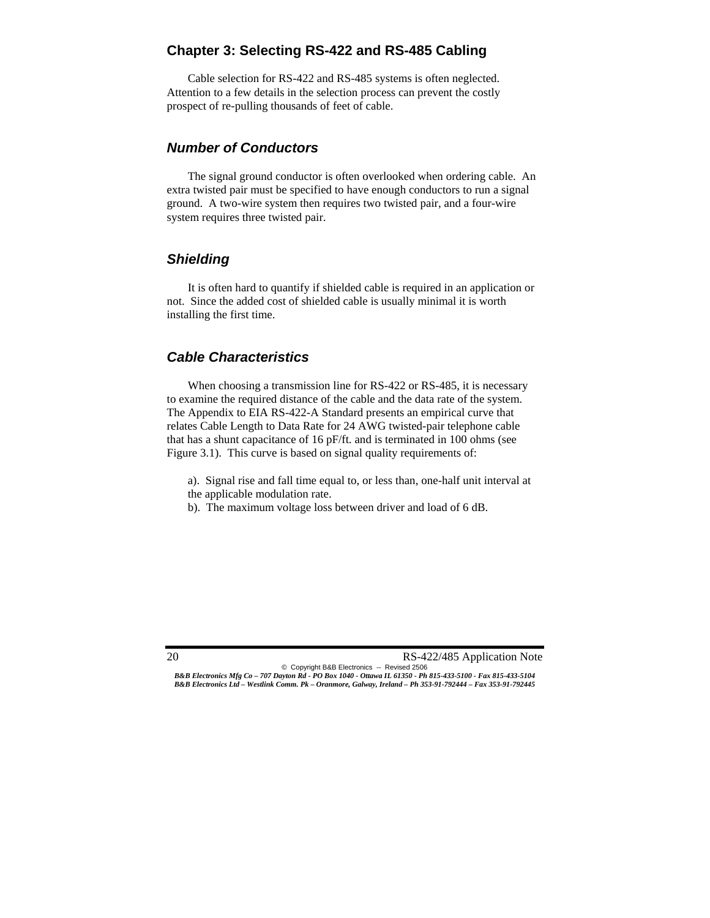# **Chapter 3: Selecting RS-422 and RS-485 Cabling**

Cable selection for RS-422 and RS-485 systems is often neglected. Attention to a few details in the selection process can prevent the costly prospect of re-pulling thousands of feet of cable.

### *Number of Conductors*

The signal ground conductor is often overlooked when ordering cable. An extra twisted pair must be specified to have enough conductors to run a signal ground. A two-wire system then requires two twisted pair, and a four-wire system requires three twisted pair.

# *Shielding*

It is often hard to quantify if shielded cable is required in an application or not. Since the added cost of shielded cable is usually minimal it is worth installing the first time.

# *Cable Characteristics*

When choosing a transmission line for RS-422 or RS-485, it is necessary to examine the required distance of the cable and the data rate of the system. The Appendix to EIA RS-422-A Standard presents an empirical curve that relates Cable Length to Data Rate for 24 AWG twisted-pair telephone cable that has a shunt capacitance of 16 pF/ft. and is terminated in 100 ohms (see Figure 3.1). This curve is based on signal quality requirements of:

a). Signal rise and fall time equal to, or less than, one-half unit interval at the applicable modulation rate.

b). The maximum voltage loss between driver and load of 6 dB.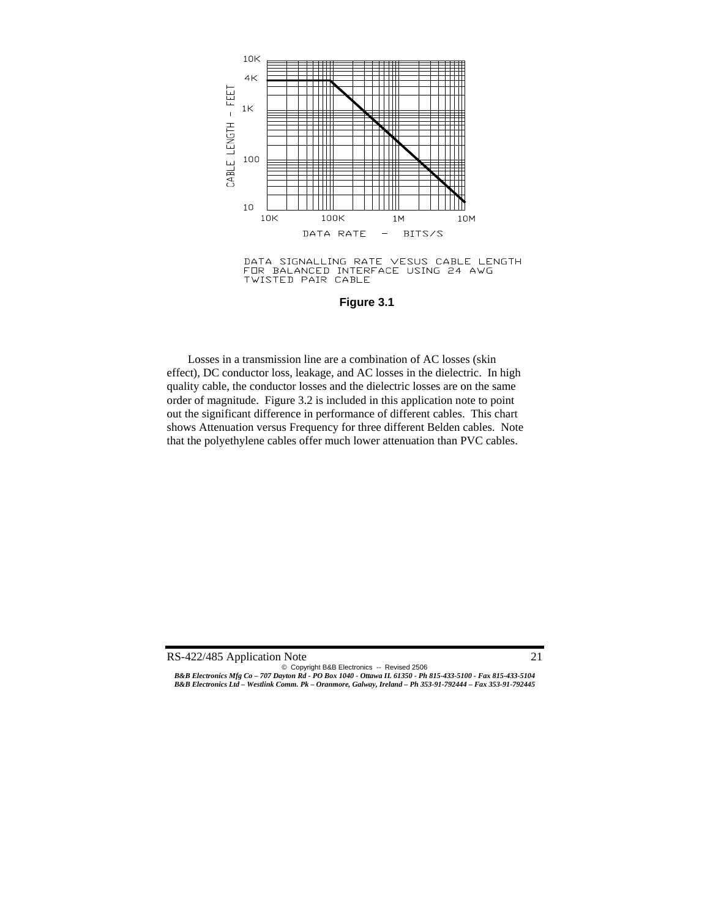

DATA SIGNALLING RATE VESUS CABLE LENGTH FOR BALANCED INTERFACE USING 24 AWG **TWISTED PAIR CABLE** 

**Figure 3.1** 

 Losses in a transmission line are a combination of AC losses (skin effect), DC conductor loss, leakage, and AC losses in the dielectric. In high quality cable, the conductor losses and the dielectric losses are on the same order of magnitude. Figure 3.2 is included in this application note to point out the significant difference in performance of different cables. This chart shows Attenuation versus Frequency for three different Belden cables. Note that the polyethylene cables offer much lower attenuation than PVC cables.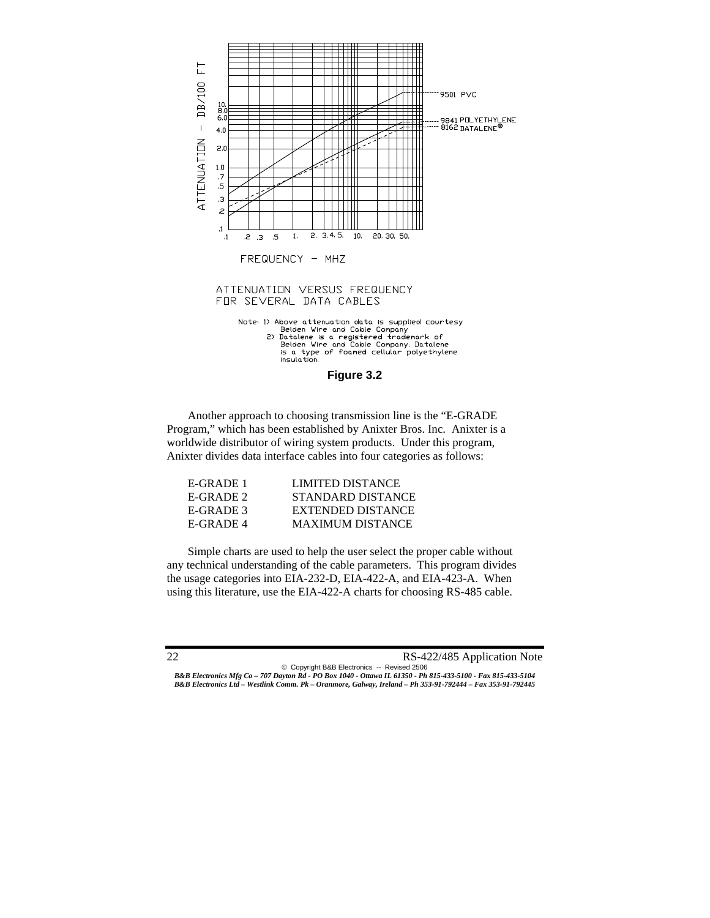



 Another approach to choosing transmission line is the "E-GRADE Program," which has been established by Anixter Bros. Inc. Anixter is a worldwide distributor of wiring system products. Under this program, Anixter divides data interface cables into four categories as follows:

| E-GRADE 1   | LIMITED DISTANCE         |
|-------------|--------------------------|
| $E-GRADE$ 2 | STANDARD DISTANCE        |
| E-GRADE 3   | <b>EXTENDED DISTANCE</b> |
| E-GRADE 4   | <b>MAXIMUM DISTANCE</b>  |

 Simple charts are used to help the user select the proper cable without any technical understanding of the cable parameters. This program divides the usage categories into EIA-232-D, EIA-422-A, and EIA-423-A. When using this literature, use the EIA-422-A charts for choosing RS-485 cable.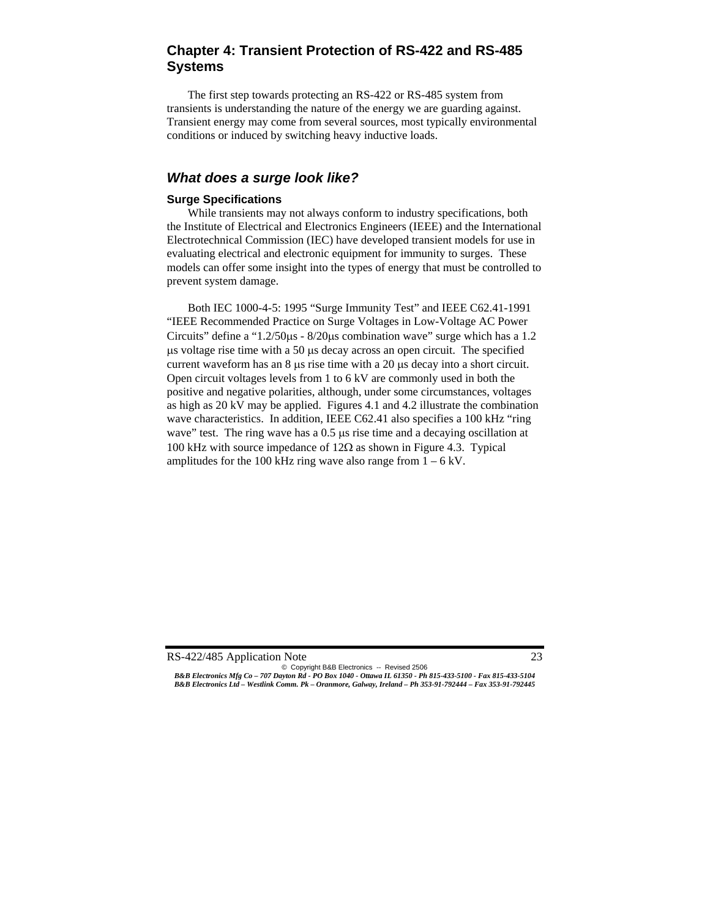# **Chapter 4: Transient Protection of RS-422 and RS-485 Systems**

The first step towards protecting an RS-422 or RS-485 system from transients is understanding the nature of the energy we are guarding against. Transient energy may come from several sources, most typically environmental conditions or induced by switching heavy inductive loads.

# *What does a surge look like?*

#### **Surge Specifications**

While transients may not always conform to industry specifications, both the Institute of Electrical and Electronics Engineers (IEEE) and the International Electrotechnical Commission (IEC) have developed transient models for use in evaluating electrical and electronic equipment for immunity to surges. These models can offer some insight into the types of energy that must be controlled to prevent system damage.

Both IEC 1000-4-5: 1995 "Surge Immunity Test" and IEEE C62.41-1991 "IEEE Recommended Practice on Surge Voltages in Low-Voltage AC Power Circuits" define a "1.2/50μs - 8/20μs combination wave" surge which has a 1.2 μs voltage rise time with a 50 μs decay across an open circuit. The specified current waveform has an 8 μs rise time with a 20 μs decay into a short circuit. Open circuit voltages levels from 1 to 6 kV are commonly used in both the positive and negative polarities, although, under some circumstances, voltages as high as 20 kV may be applied. Figures 4.1 and 4.2 illustrate the combination wave characteristics. In addition, IEEE C62.41 also specifies a 100 kHz "ring wave" test. The ring wave has a 0.5 μs rise time and a decaying oscillation at 100 kHz with source impedance of  $12Ω$  as shown in Figure 4.3. Typical amplitudes for the 100 kHz ring wave also range from  $1 - 6$  kV.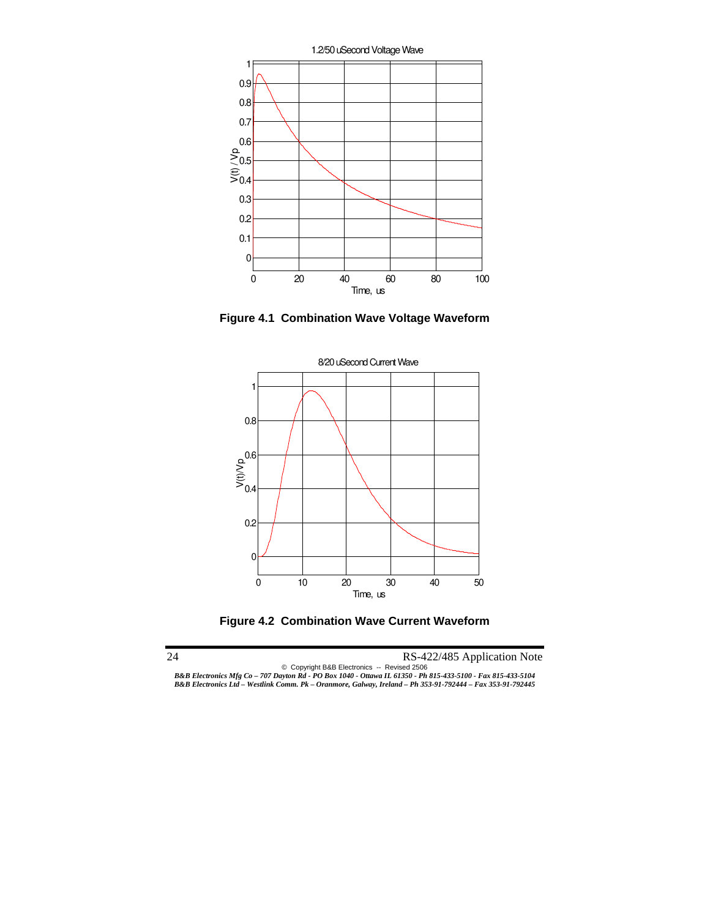

**Figure 4.1 Combination Wave Voltage Waveform** 



**Figure 4.2 Combination Wave Current Waveform**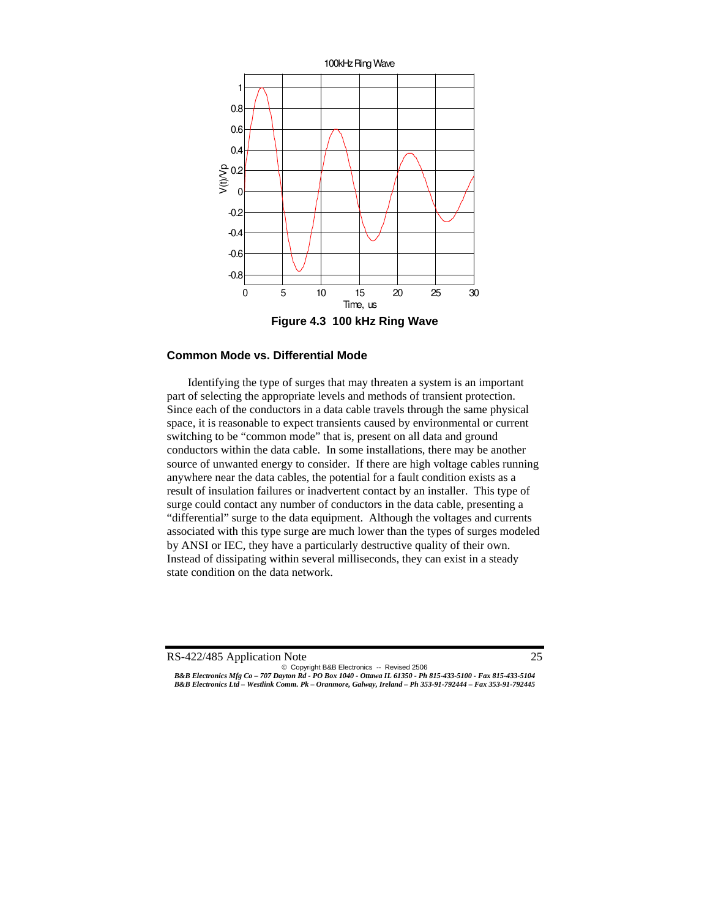

#### **Common Mode vs. Differential Mode**

Identifying the type of surges that may threaten a system is an important part of selecting the appropriate levels and methods of transient protection. Since each of the conductors in a data cable travels through the same physical space, it is reasonable to expect transients caused by environmental or current switching to be "common mode" that is, present on all data and ground conductors within the data cable. In some installations, there may be another source of unwanted energy to consider. If there are high voltage cables running anywhere near the data cables, the potential for a fault condition exists as a result of insulation failures or inadvertent contact by an installer. This type of surge could contact any number of conductors in the data cable, presenting a "differential" surge to the data equipment. Although the voltages and currents associated with this type surge are much lower than the types of surges modeled by ANSI or IEC, they have a particularly destructive quality of their own. Instead of dissipating within several milliseconds, they can exist in a steady state condition on the data network.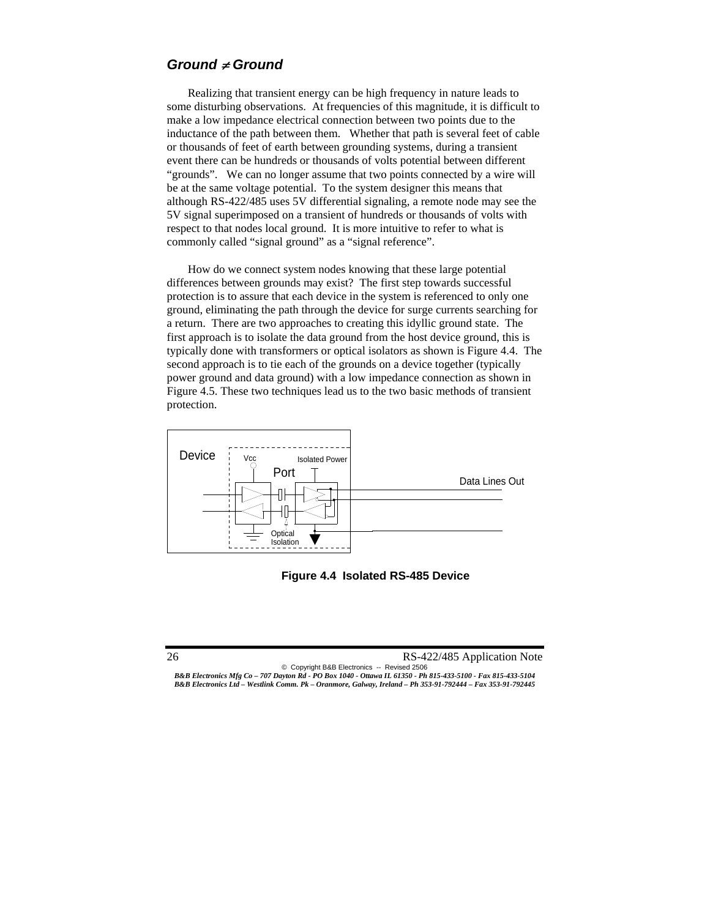### *Ground* ≠ *Ground*

Realizing that transient energy can be high frequency in nature leads to some disturbing observations. At frequencies of this magnitude, it is difficult to make a low impedance electrical connection between two points due to the inductance of the path between them. Whether that path is several feet of cable or thousands of feet of earth between grounding systems, during a transient event there can be hundreds or thousands of volts potential between different "grounds". We can no longer assume that two points connected by a wire will be at the same voltage potential. To the system designer this means that although RS-422/485 uses 5V differential signaling, a remote node may see the 5V signal superimposed on a transient of hundreds or thousands of volts with respect to that nodes local ground. It is more intuitive to refer to what is commonly called "signal ground" as a "signal reference".

How do we connect system nodes knowing that these large potential differences between grounds may exist? The first step towards successful protection is to assure that each device in the system is referenced to only one ground, eliminating the path through the device for surge currents searching for a return. There are two approaches to creating this idyllic ground state. The first approach is to isolate the data ground from the host device ground, this is typically done with transformers or optical isolators as shown is Figure 4.4. The second approach is to tie each of the grounds on a device together (typically power ground and data ground) with a low impedance connection as shown in Figure 4.5. These two techniques lead us to the two basic methods of transient protection.



**Figure 4.4 Isolated RS-485 Device**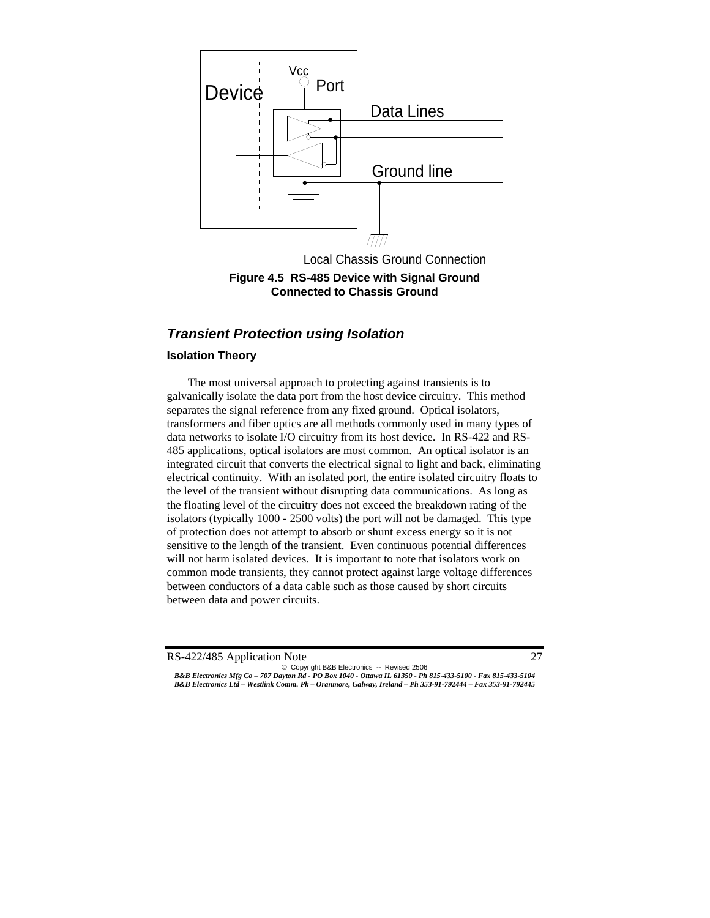

**Figure 4.5 RS-485 Device with Signal Ground Connected to Chassis Ground** 

# *Transient Protection using Isolation*

#### **Isolation Theory**

The most universal approach to protecting against transients is to galvanically isolate the data port from the host device circuitry. This method separates the signal reference from any fixed ground. Optical isolators, transformers and fiber optics are all methods commonly used in many types of data networks to isolate I/O circuitry from its host device. In RS-422 and RS-485 applications, optical isolators are most common. An optical isolator is an integrated circuit that converts the electrical signal to light and back, eliminating electrical continuity. With an isolated port, the entire isolated circuitry floats to the level of the transient without disrupting data communications. As long as the floating level of the circuitry does not exceed the breakdown rating of the isolators (typically 1000 - 2500 volts) the port will not be damaged. This type of protection does not attempt to absorb or shunt excess energy so it is not sensitive to the length of the transient. Even continuous potential differences will not harm isolated devices. It is important to note that isolators work on common mode transients, they cannot protect against large voltage differences between conductors of a data cable such as those caused by short circuits between data and power circuits.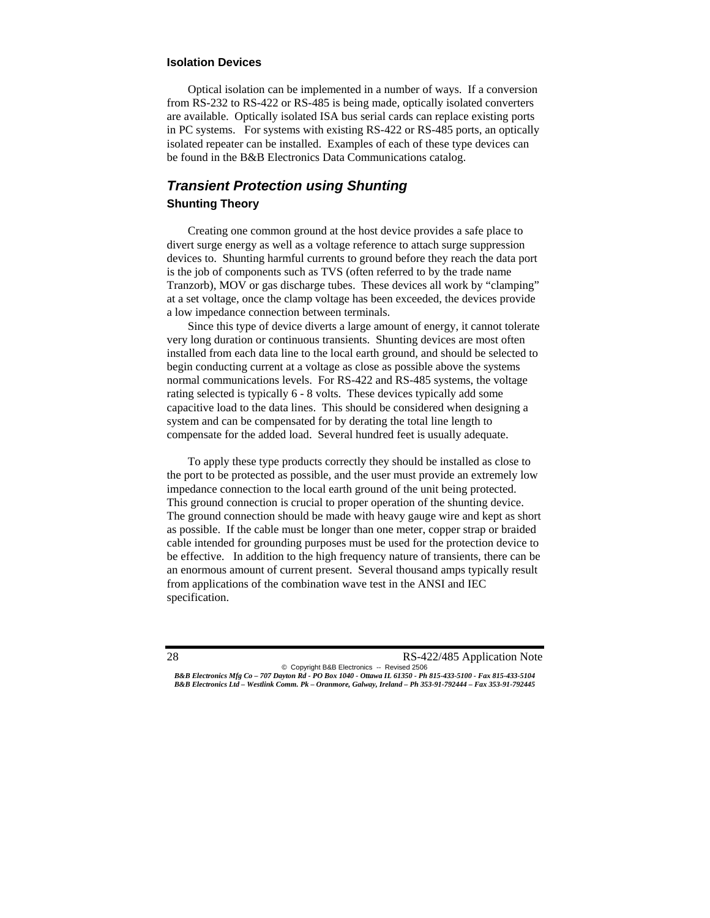#### **Isolation Devices**

 Optical isolation can be implemented in a number of ways. If a conversion from RS-232 to RS-422 or RS-485 is being made, optically isolated converters are available. Optically isolated ISA bus serial cards can replace existing ports in PC systems. For systems with existing RS-422 or RS-485 ports, an optically isolated repeater can be installed. Examples of each of these type devices can be found in the B&B Electronics Data Communications catalog.

# *Transient Protection using Shunting*  **Shunting Theory**

Creating one common ground at the host device provides a safe place to divert surge energy as well as a voltage reference to attach surge suppression devices to. Shunting harmful currents to ground before they reach the data port is the job of components such as TVS (often referred to by the trade name Tranzorb), MOV or gas discharge tubes. These devices all work by "clamping" at a set voltage, once the clamp voltage has been exceeded, the devices provide a low impedance connection between terminals.

Since this type of device diverts a large amount of energy, it cannot tolerate very long duration or continuous transients. Shunting devices are most often installed from each data line to the local earth ground, and should be selected to begin conducting current at a voltage as close as possible above the systems normal communications levels. For RS-422 and RS-485 systems, the voltage rating selected is typically 6 - 8 volts. These devices typically add some capacitive load to the data lines. This should be considered when designing a system and can be compensated for by derating the total line length to compensate for the added load. Several hundred feet is usually adequate.

To apply these type products correctly they should be installed as close to the port to be protected as possible, and the user must provide an extremely low impedance connection to the local earth ground of the unit being protected. This ground connection is crucial to proper operation of the shunting device. The ground connection should be made with heavy gauge wire and kept as short as possible. If the cable must be longer than one meter, copper strap or braided cable intended for grounding purposes must be used for the protection device to be effective. In addition to the high frequency nature of transients, there can be an enormous amount of current present. Several thousand amps typically result from applications of the combination wave test in the ANSI and IEC specification.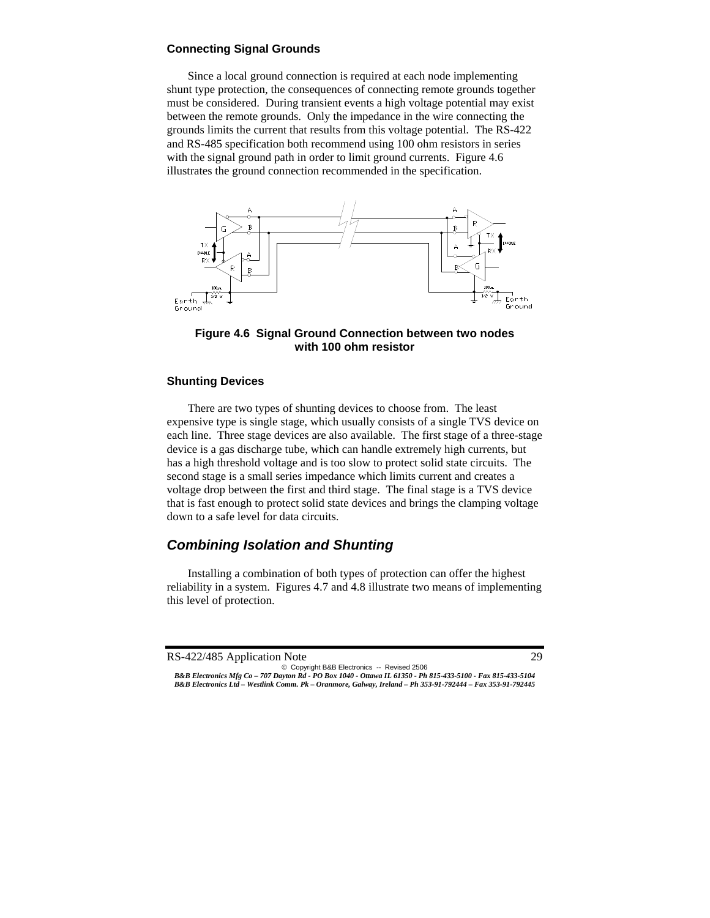#### **Connecting Signal Grounds**

Since a local ground connection is required at each node implementing shunt type protection, the consequences of connecting remote grounds together must be considered. During transient events a high voltage potential may exist between the remote grounds. Only the impedance in the wire connecting the grounds limits the current that results from this voltage potential. The RS-422 and RS-485 specification both recommend using 100 ohm resistors in series with the signal ground path in order to limit ground currents. Figure 4.6 illustrates the ground connection recommended in the specification.



**Figure 4.6 Signal Ground Connection between two nodes with 100 ohm resistor** 

#### **Shunting Devices**

 There are two types of shunting devices to choose from. The least expensive type is single stage, which usually consists of a single TVS device on each line. Three stage devices are also available. The first stage of a three-stage device is a gas discharge tube, which can handle extremely high currents, but has a high threshold voltage and is too slow to protect solid state circuits. The second stage is a small series impedance which limits current and creates a voltage drop between the first and third stage. The final stage is a TVS device that is fast enough to protect solid state devices and brings the clamping voltage down to a safe level for data circuits.

# *Combining Isolation and Shunting*

Installing a combination of both types of protection can offer the highest reliability in a system. Figures 4.7 and 4.8 illustrate two means of implementing this level of protection.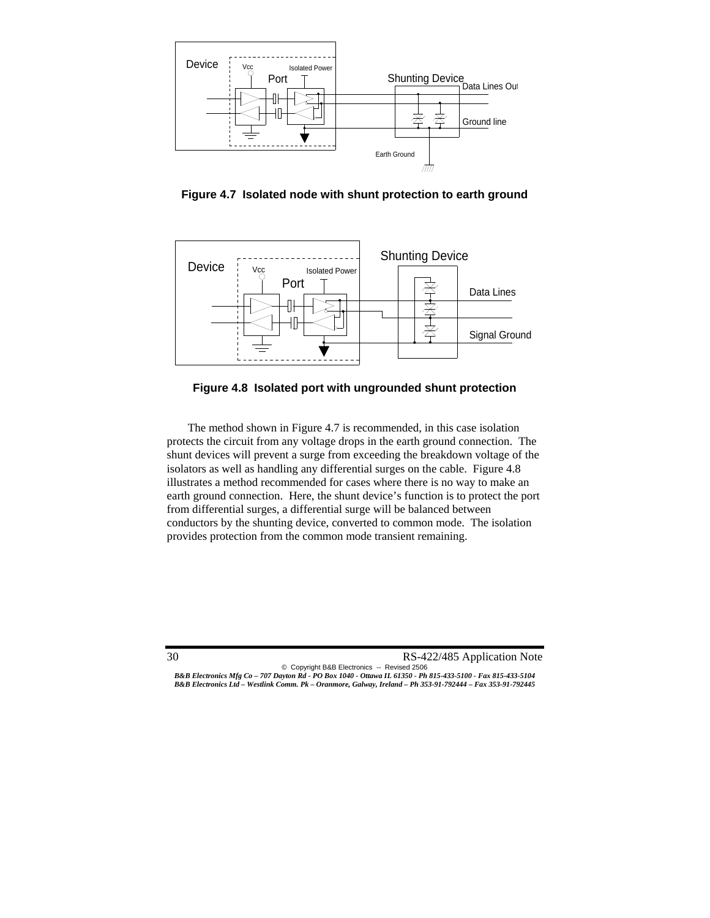

**Figure 4.7 Isolated node with shunt protection to earth ground** 



**Figure 4.8 Isolated port with ungrounded shunt protection** 

 The method shown in Figure 4.7 is recommended, in this case isolation protects the circuit from any voltage drops in the earth ground connection. The shunt devices will prevent a surge from exceeding the breakdown voltage of the isolators as well as handling any differential surges on the cable. Figure 4.8 illustrates a method recommended for cases where there is no way to make an earth ground connection. Here, the shunt device's function is to protect the port from differential surges, a differential surge will be balanced between conductors by the shunting device, converted to common mode. The isolation provides protection from the common mode transient remaining.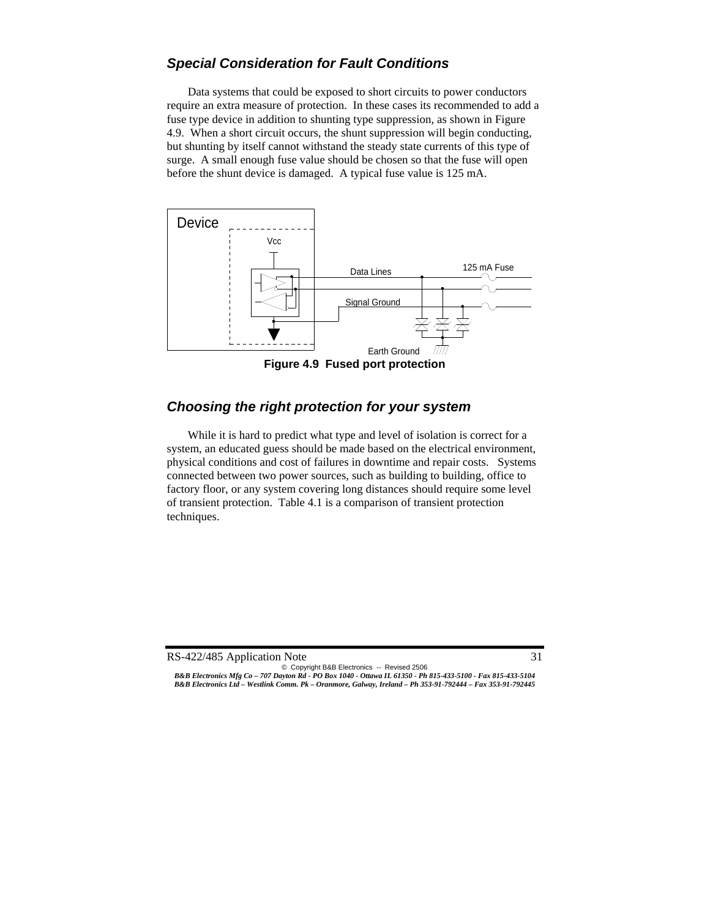# *Special Consideration for Fault Conditions*

 Data systems that could be exposed to short circuits to power conductors require an extra measure of protection. In these cases its recommended to add a fuse type device in addition to shunting type suppression, as shown in Figure 4.9. When a short circuit occurs, the shunt suppression will begin conducting, but shunting by itself cannot withstand the steady state currents of this type of surge. A small enough fuse value should be chosen so that the fuse will open before the shunt device is damaged. A typical fuse value is 125 mA.



**Figure 4.9 Fused port protection** 

### *Choosing the right protection for your system*

While it is hard to predict what type and level of isolation is correct for a system, an educated guess should be made based on the electrical environment, physical conditions and cost of failures in downtime and repair costs. Systems connected between two power sources, such as building to building, office to factory floor, or any system covering long distances should require some level of transient protection. Table 4.1 is a comparison of transient protection techniques.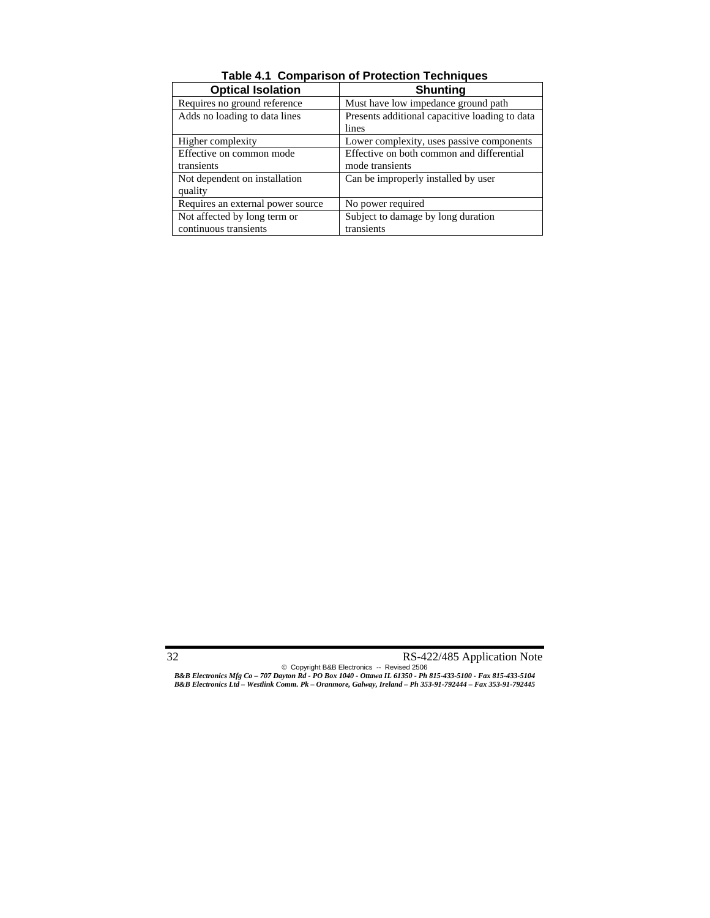| <b>Optical Isolation</b>          | <b>Shunting</b>                                |
|-----------------------------------|------------------------------------------------|
| Requires no ground reference      | Must have low impedance ground path            |
| Adds no loading to data lines     | Presents additional capacitive loading to data |
|                                   | lines                                          |
| Higher complexity                 | Lower complexity, uses passive components      |
| Effective on common mode          | Effective on both common and differential      |
| transients                        | mode transients                                |
| Not dependent on installation     | Can be improperly installed by user            |
| quality                           |                                                |
| Requires an external power source | No power required                              |
| Not affected by long term or      | Subject to damage by long duration             |
| continuous transients             | transients                                     |

**Table 4.1 Comparison of Protection Techniques**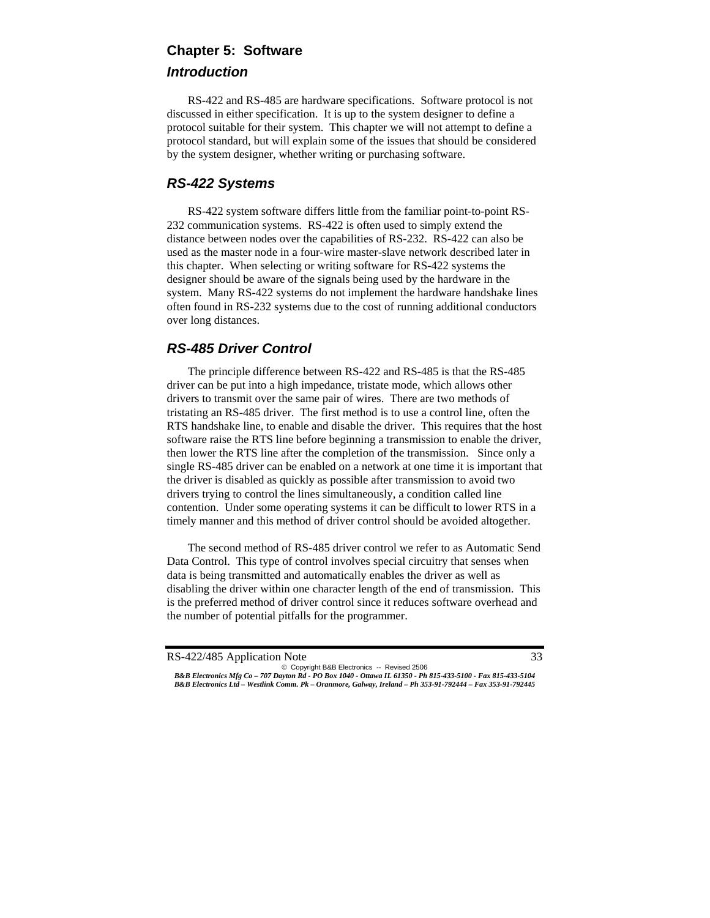# **Chapter 5: Software**  *Introduction*

 RS-422 and RS-485 are hardware specifications. Software protocol is not discussed in either specification. It is up to the system designer to define a protocol suitable for their system. This chapter we will not attempt to define a protocol standard, but will explain some of the issues that should be considered by the system designer, whether writing or purchasing software.

# *RS-422 Systems*

 RS-422 system software differs little from the familiar point-to-point RS-232 communication systems. RS-422 is often used to simply extend the distance between nodes over the capabilities of RS-232. RS-422 can also be used as the master node in a four-wire master-slave network described later in this chapter. When selecting or writing software for RS-422 systems the designer should be aware of the signals being used by the hardware in the system. Many RS-422 systems do not implement the hardware handshake lines often found in RS-232 systems due to the cost of running additional conductors over long distances.

# *RS-485 Driver Control*

 The principle difference between RS-422 and RS-485 is that the RS-485 driver can be put into a high impedance, tristate mode, which allows other drivers to transmit over the same pair of wires. There are two methods of tristating an RS-485 driver. The first method is to use a control line, often the RTS handshake line, to enable and disable the driver. This requires that the host software raise the RTS line before beginning a transmission to enable the driver, then lower the RTS line after the completion of the transmission. Since only a single RS-485 driver can be enabled on a network at one time it is important that the driver is disabled as quickly as possible after transmission to avoid two drivers trying to control the lines simultaneously, a condition called line contention. Under some operating systems it can be difficult to lower RTS in a timely manner and this method of driver control should be avoided altogether.

 The second method of RS-485 driver control we refer to as Automatic Send Data Control. This type of control involves special circuitry that senses when data is being transmitted and automatically enables the driver as well as disabling the driver within one character length of the end of transmission. This is the preferred method of driver control since it reduces software overhead and the number of potential pitfalls for the programmer.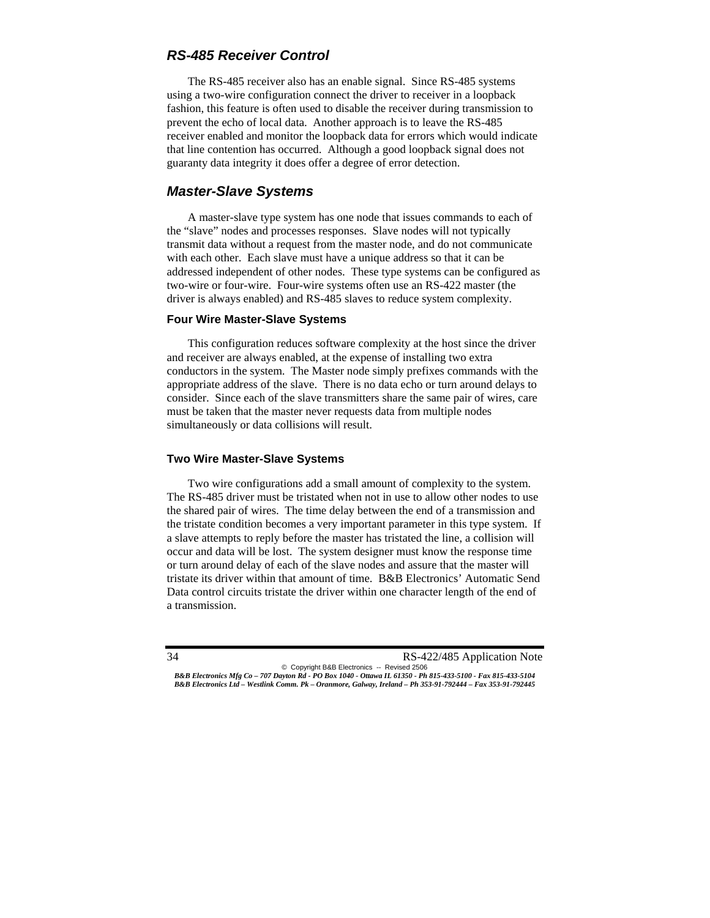# *RS-485 Receiver Control*

 The RS-485 receiver also has an enable signal. Since RS-485 systems using a two-wire configuration connect the driver to receiver in a loopback fashion, this feature is often used to disable the receiver during transmission to prevent the echo of local data. Another approach is to leave the RS-485 receiver enabled and monitor the loopback data for errors which would indicate that line contention has occurred. Although a good loopback signal does not guaranty data integrity it does offer a degree of error detection.

# *Master-Slave Systems*

 A master-slave type system has one node that issues commands to each of the "slave" nodes and processes responses. Slave nodes will not typically transmit data without a request from the master node, and do not communicate with each other. Each slave must have a unique address so that it can be addressed independent of other nodes. These type systems can be configured as two-wire or four-wire. Four-wire systems often use an RS-422 master (the driver is always enabled) and RS-485 slaves to reduce system complexity.

#### **Four Wire Master-Slave Systems**

 This configuration reduces software complexity at the host since the driver and receiver are always enabled, at the expense of installing two extra conductors in the system. The Master node simply prefixes commands with the appropriate address of the slave. There is no data echo or turn around delays to consider. Since each of the slave transmitters share the same pair of wires, care must be taken that the master never requests data from multiple nodes simultaneously or data collisions will result.

#### **Two Wire Master-Slave Systems**

 Two wire configurations add a small amount of complexity to the system. The RS-485 driver must be tristated when not in use to allow other nodes to use the shared pair of wires. The time delay between the end of a transmission and the tristate condition becomes a very important parameter in this type system. If a slave attempts to reply before the master has tristated the line, a collision will occur and data will be lost. The system designer must know the response time or turn around delay of each of the slave nodes and assure that the master will tristate its driver within that amount of time. B&B Electronics' Automatic Send Data control circuits tristate the driver within one character length of the end of a transmission.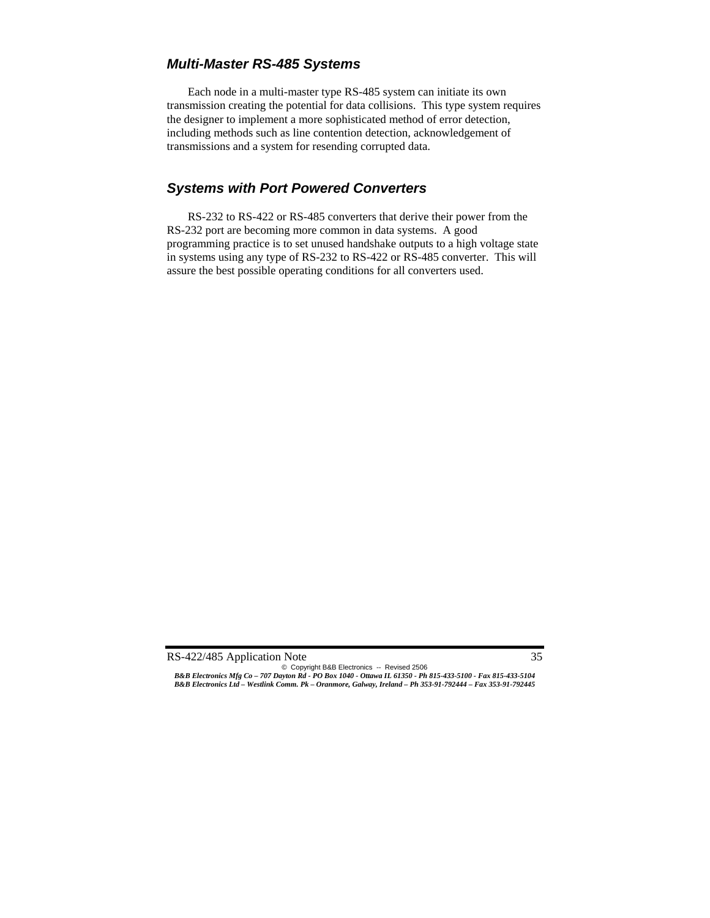# *Multi-Master RS-485 Systems*

 Each node in a multi-master type RS-485 system can initiate its own transmission creating the potential for data collisions. This type system requires the designer to implement a more sophisticated method of error detection, including methods such as line contention detection, acknowledgement of transmissions and a system for resending corrupted data.

# *Systems with Port Powered Converters*

 RS-232 to RS-422 or RS-485 converters that derive their power from the RS-232 port are becoming more common in data systems. A good programming practice is to set unused handshake outputs to a high voltage state in systems using any type of RS-232 to RS-422 or RS-485 converter. This will assure the best possible operating conditions for all converters used.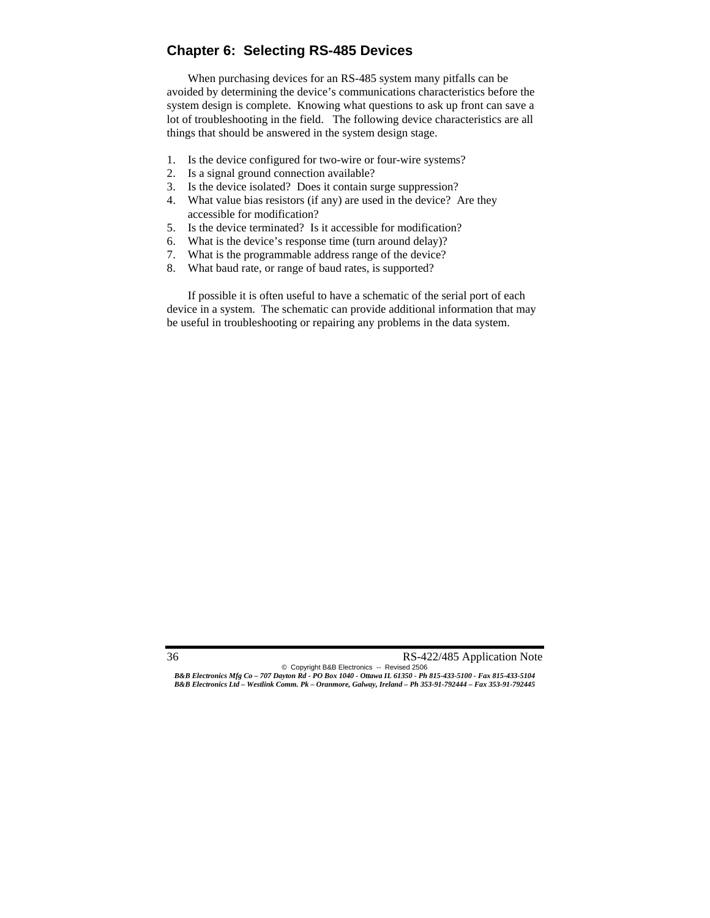# **Chapter 6: Selecting RS-485 Devices**

When purchasing devices for an RS-485 system many pitfalls can be avoided by determining the device's communications characteristics before the system design is complete. Knowing what questions to ask up front can save a lot of troubleshooting in the field. The following device characteristics are all things that should be answered in the system design stage.

- 1. Is the device configured for two-wire or four-wire systems?
- 2. Is a signal ground connection available?
- 3. Is the device isolated? Does it contain surge suppression?
- 4. What value bias resistors (if any) are used in the device? Are they accessible for modification?
- 5. Is the device terminated? Is it accessible for modification?
- 6. What is the device's response time (turn around delay)?
- 7. What is the programmable address range of the device?
- 8. What baud rate, or range of baud rates, is supported?

If possible it is often useful to have a schematic of the serial port of each device in a system. The schematic can provide additional information that may be useful in troubleshooting or repairing any problems in the data system.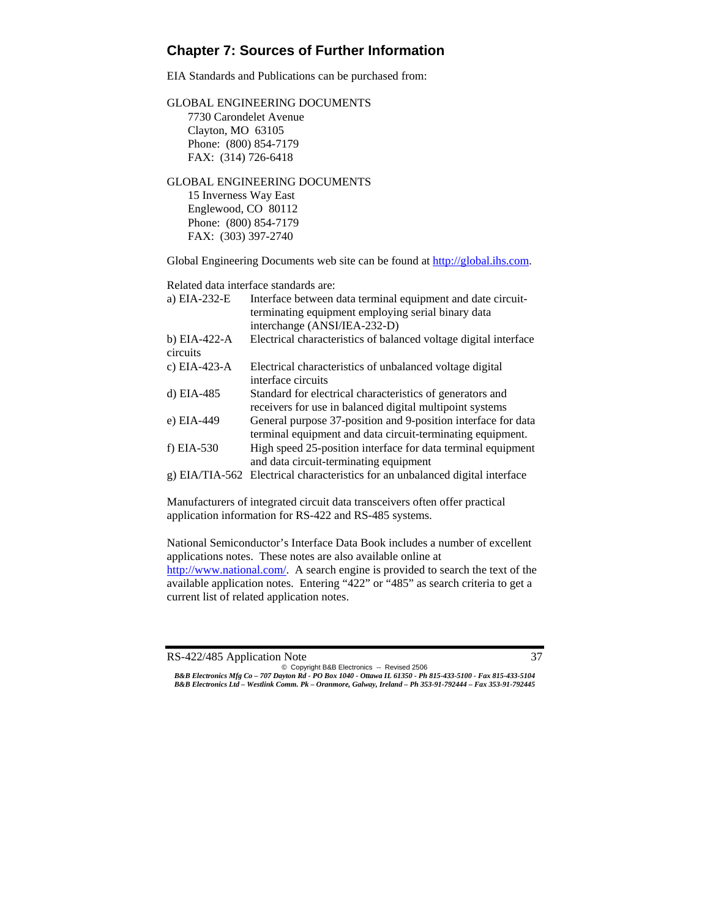# **Chapter 7: Sources of Further Information**

EIA Standards and Publications can be purchased from:

GLOBAL ENGINEERING DOCUMENTS 7730 Carondelet Avenue Clayton, MO 63105 Phone: (800) 854-7179 FAX: (314) 726-6418

#### GLOBAL ENGINEERING DOCUMENTS 15 Inverness Way East Englewood, CO 80112 Phone: (800) 854-7179 FAX: (303) 397-2740

Global Engineering Documents web site can be found at http://global.ihs.com.

Related data interface standards are:

| a) EIA-232-E             | Interface between data terminal equipment and date circuit-<br>terminating equipment employing serial binary data<br>interchange (ANSI/IEA-232-D) |
|--------------------------|---------------------------------------------------------------------------------------------------------------------------------------------------|
| b) EIA-422-A<br>circuits | Electrical characteristics of balanced voltage digital interface                                                                                  |
| c) EIA-423-A             | Electrical characteristics of unbalanced voltage digital<br>interface circuits                                                                    |
| d) EIA-485               | Standard for electrical characteristics of generators and<br>receivers for use in balanced digital multipoint systems                             |
| e) EIA-449               | General purpose 37-position and 9-position interface for data<br>terminal equipment and data circuit-terminating equipment.                       |
| $f) EIA-530$             | High speed 25-position interface for data terminal equipment<br>and data circuit-terminating equipment                                            |
|                          | g) EIA/TIA-562 Electrical characteristics for an unbalanced digital interface                                                                     |

Manufacturers of integrated circuit data transceivers often offer practical application information for RS-422 and RS-485 systems.

National Semiconductor's Interface Data Book includes a number of excellent applications notes. These notes are also available online at http://www.national.com/. A search engine is provided to search the text of the available application notes. Entering "422" or "485" as search criteria to get a current list of related application notes.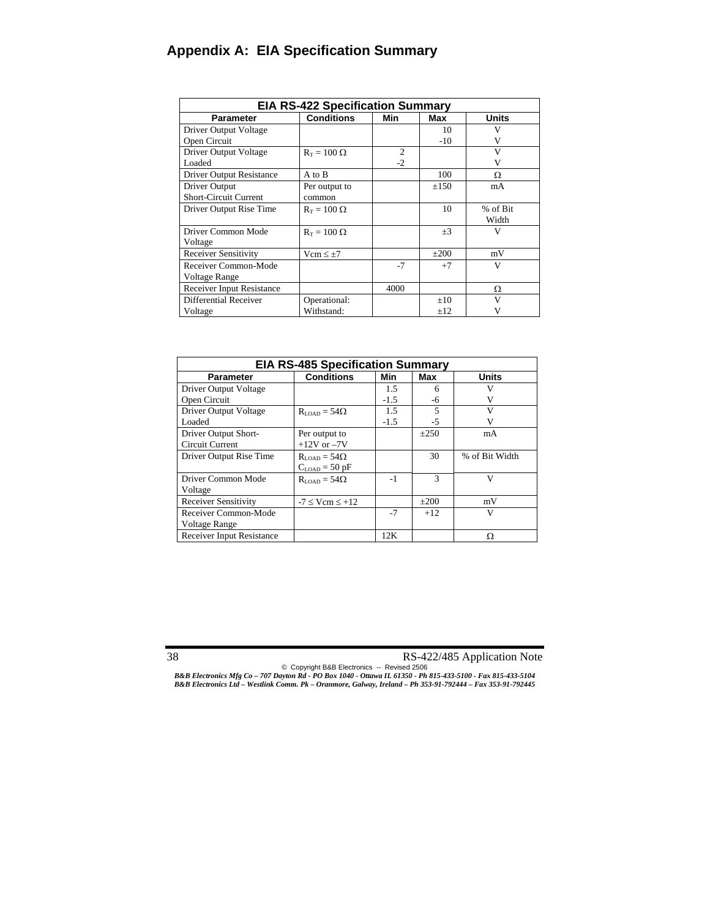# **Appendix A: EIA Specification Summary**

| <b>EIA RS-422 Specification Summary</b> |                    |                |           |          |
|-----------------------------------------|--------------------|----------------|-----------|----------|
| <b>Parameter</b>                        | <b>Conditions</b>  | Min            | Max       | Units    |
| Driver Output Voltage                   |                    |                | 10        | V        |
| Open Circuit                            |                    |                | $-10$     | V        |
| Driver Output Voltage                   | $R_T = 100 \Omega$ | $\overline{2}$ |           | V        |
| Loaded                                  |                    | $-2$           |           | V        |
| <b>Driver Output Resistance</b>         | A to B             |                | 100       | Ω        |
| Driver Output                           | Per output to      |                | $\pm 150$ | mA       |
| <b>Short-Circuit Current</b>            | common             |                |           |          |
| Driver Output Rise Time                 | $R_T = 100 \Omega$ |                | 10        | % of Bit |
|                                         |                    |                |           | Width    |
| Driver Common Mode                      | $R_T = 100 \Omega$ |                | $\pm 3$   | v        |
| Voltage                                 |                    |                |           |          |
| <b>Receiver Sensitivity</b>             | $Vcm \leq \pm 7$   |                | $\pm 200$ | mV       |
| Receiver Common-Mode                    |                    | $-7$           | $+7$      | V        |
| Voltage Range                           |                    |                |           |          |
| <b>Receiver Input Resistance</b>        |                    | 4000           |           | Ω        |
| Differential Receiver                   | Operational:       |                | $+10$     | V        |
| Voltage                                 | Withstand:         |                | $+12$     | V        |

| <b>EIA RS-485 Specification Summary</b> |                              |        |               |                |  |
|-----------------------------------------|------------------------------|--------|---------------|----------------|--|
| <b>Parameter</b>                        | <b>Conditions</b>            | Min    | Max           | <b>Units</b>   |  |
| Driver Output Voltage                   |                              | 1.5    | 6             |                |  |
| Open Circuit                            |                              | $-1.5$ | -6            |                |  |
| <b>Driver Output Voltage</b>            | $R_{\text{LOAD}} = 54\Omega$ | 1.5    | 5             | V              |  |
| Loaded                                  |                              | $-1.5$ | $-5$          |                |  |
| Driver Output Short-                    | Per output to                |        | $\pm 250$     | mA             |  |
| <b>Circuit Current</b>                  | $+12V$ or $-7V$              |        |               |                |  |
| Driver Output Rise Time                 | $R_{\text{LOAD}} = 54\Omega$ |        | 30            | % of Bit Width |  |
|                                         | $C_{\text{LOAD}}$ = 50 pF    |        |               |                |  |
| Driver Common Mode                      | $R_{\text{LOAD}} = 54\Omega$ | -1     | $\mathcal{R}$ | $\mathbf{V}$   |  |
| Voltage                                 |                              |        |               |                |  |
| <b>Receiver Sensitivity</b>             | $-7 \leq$ Vcm $\leq$ +12     |        | $+200$        | mV             |  |
| Receiver Common-Mode                    |                              | $-7$   | $+12$         | V              |  |
| Voltage Range                           |                              |        |               |                |  |
| <b>Receiver Input Resistance</b>        |                              | 12K    |               | Ω              |  |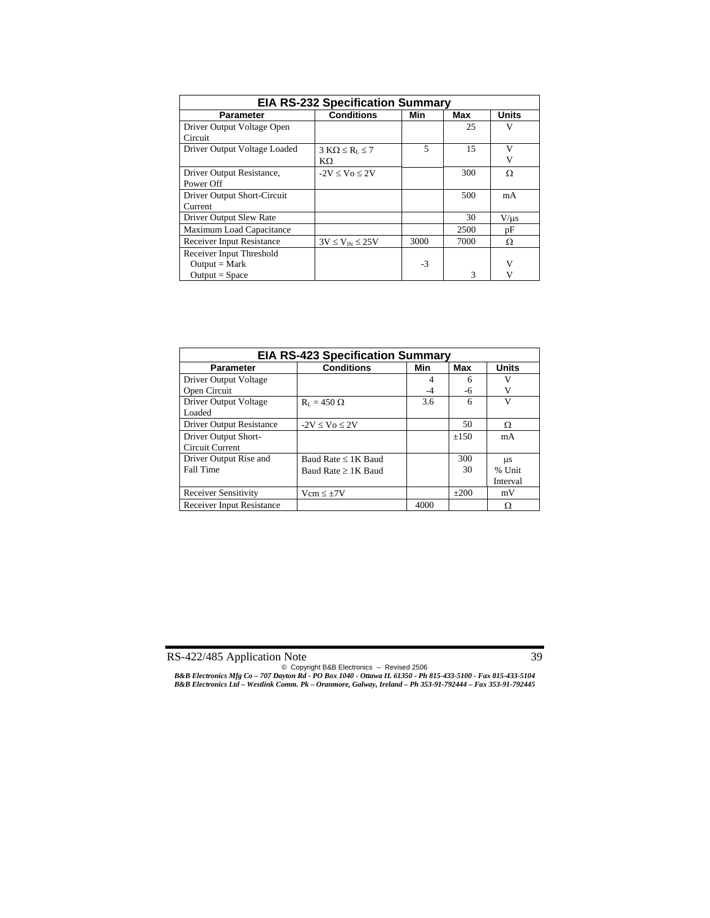| <b>EIA RS-232 Specification Summary</b> |                             |      |      |              |
|-----------------------------------------|-----------------------------|------|------|--------------|
| <b>Parameter</b>                        | <b>Conditions</b>           | Min  | Max  | <b>Units</b> |
| Driver Output Voltage Open              |                             |      | 25   | V            |
| Circuit                                 |                             |      |      |              |
| Driver Output Voltage Loaded            | $3 K\Omega \le R_{L} \le 7$ | 5    | 15   | V            |
|                                         | KΩ                          |      |      | V            |
| Driver Output Resistance,               | $-2V < V_0 < 2V$            |      | 300  | Ω            |
| Power Off                               |                             |      |      |              |
| Driver Output Short-Circuit             |                             |      | 500  | mA           |
| Current                                 |                             |      |      |              |
| Driver Output Slew Rate                 |                             |      | 30   | $V/ \mu s$   |
| Maximum Load Capacitance                |                             |      | 2500 | pF           |
| <b>Receiver Input Resistance</b>        | $3V \leq V_{IN} \leq 25V$   | 3000 | 7000 | Ω            |
| Receiver Input Threshold                |                             |      |      |              |
| $Output = Mark$                         |                             | $-3$ |      | V            |
| $Output = Space$                        |                             |      | 3    | v            |

| <b>EIA RS-423 Specification Summary</b> |                          |      |           |              |
|-----------------------------------------|--------------------------|------|-----------|--------------|
| <b>Parameter</b>                        | <b>Conditions</b>        | Min  | Max       | <b>Units</b> |
| Driver Output Voltage                   |                          | 4    | 6         | V            |
| Open Circuit                            |                          | -4   | -6        | V            |
| Driver Output Voltage                   | $R_{\rm L} = 450 \Omega$ | 3.6  | 6         | V            |
| Loaded                                  |                          |      |           |              |
| <b>Driver Output Resistance</b>         | $-2V \leq V_0 \leq 2V$   |      | 50        | Ω            |
| Driver Output Short-                    |                          |      | $\pm 150$ | mA           |
| Circuit Current                         |                          |      |           |              |
| Driver Output Rise and                  | Baud Rate $\leq 1K$ Baud |      | 300       | <b>LLS</b>   |
| Fall Time                               | Baud Rate $\geq$ 1K Baud |      | 30        | % Unit       |
|                                         |                          |      |           | Interval     |
| <b>Receiver Sensitivity</b>             | $Vcm \leq \pm 7V$        |      | $+200$    | mV           |
| <b>Receiver Input Resistance</b>        |                          | 4000 |           | Ω            |